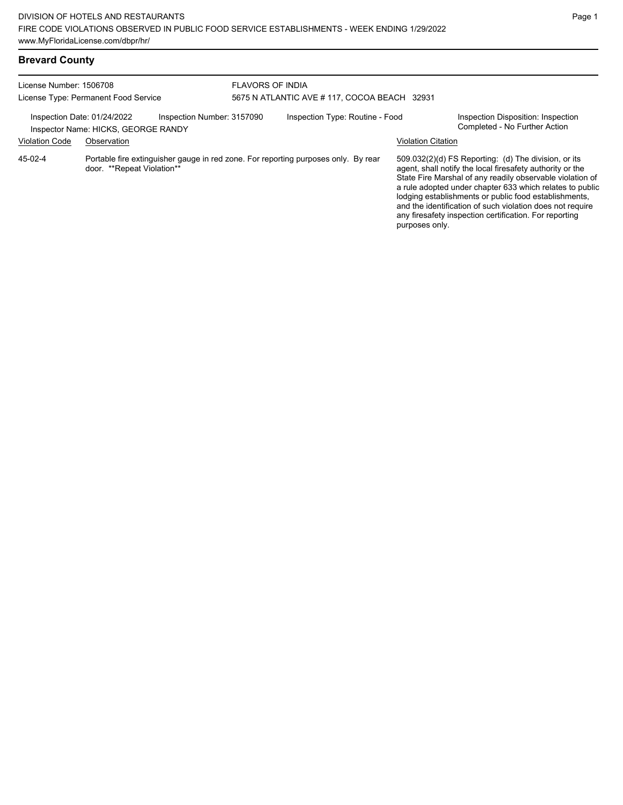| <b>Brevard County</b> |  |
|-----------------------|--|
|-----------------------|--|

| License Number: 1506708<br>License Type: Permanent Food Service |                                                                                                                  | <b>FLAVORS OF INDIA</b> | 5675 N ATLANTIC AVE # 117, COCOA BEACH 32931 |                           |                                                                                                                                                                                                                                                                                                                                                                                                                            |
|-----------------------------------------------------------------|------------------------------------------------------------------------------------------------------------------|-------------------------|----------------------------------------------|---------------------------|----------------------------------------------------------------------------------------------------------------------------------------------------------------------------------------------------------------------------------------------------------------------------------------------------------------------------------------------------------------------------------------------------------------------------|
| Inspection Date: 01/24/2022<br><b>Violation Code</b>            | Inspection Number: 3157090<br>Inspector Name: HICKS, GEORGE RANDY<br>Observation                                 |                         | Inspection Type: Routine - Food              | <b>Violation Citation</b> | Inspection Disposition: Inspection<br>Completed - No Further Action                                                                                                                                                                                                                                                                                                                                                        |
| 45-02-4                                                         | Portable fire extinguisher gauge in red zone. For reporting purposes only. By rear<br>door. **Repeat Violation** |                         |                                              | purposes only.            | 509.032(2)(d) FS Reporting: (d) The division, or its<br>agent, shall notify the local firesafety authority or the<br>State Fire Marshal of any readily observable violation of<br>a rule adopted under chapter 633 which relates to public<br>lodging establishments or public food establishments,<br>and the identification of such violation does not require<br>any firesafety inspection certification. For reporting |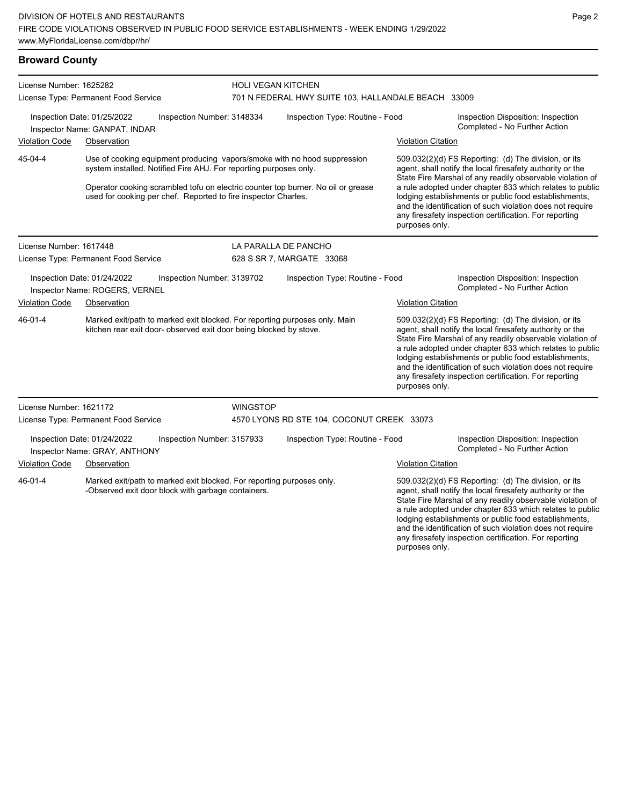### **Broward County** License Number: 1625282 License Type: Permanent Food Service HOLI VEGAN KITCHEN 701 N FEDERAL HWY SUITE 103, HALLANDALE BEACH 33009 Inspection Date: 01/25/2022 Inspection Number: 3148334 Inspection Type: Routine - Food Inspection Disposition: Inspection Completed - No Further Action Inspector Name: GANPAT, INDAR Violation Code Observation Violation Citation Use of cooking equipment producing vapors/smoke with no hood suppression system installed. Notified Fire AHJ. For reporting purposes only. Operator cooking scrambled tofu on electric counter top burner. No oil or grease used for cooking per chef. Reported to fire inspector Charles. 509.032(2)(d) FS Reporting: (d) The division, or its agent, shall notify the local firesafety authority or the State Fire Marshal of any readily observable violation of a rule adopted under chapter 633 which relates to public lodging establishments or public food establishments, and the identification of such violation does not require any firesafety inspection certification. For reporting purposes only. 45-04-4 License Number: 1617448 License Type: Permanent Food Service LA PARALLA DE PANCHO 628 S SR 7, MARGATE 33068 Inspection Date: 01/24/2022 Inspection Number: 3139702 Inspection Type: Routine - Food Inspection Disposition: Inspection Inspector Name: ROGERS, VERNEL **Inspector Name: ROGERS, VERNEL** Violation Code Observation **Violation Citation** Violation Citation Citation Marked exit/path to marked exit blocked. For reporting purposes only. Main kitchen rear exit door- observed exit door being blocked by stove. 509.032(2)(d) FS Reporting: (d) The division, or its agent, shall notify the local firesafety authority or the State Fire Marshal of any readily observable violation of a rule adopted under chapter 633 which relates to public lodging establishments or public food establishments, and the identification of such violation does not require any firesafety inspection certification. For reporting purposes only. 46-01-4 License Number: 1621172 License Type: Permanent Food Service **WINGSTOP** 4570 LYONS RD STE 104, COCONUT CREEK 33073 Inspection Date: 01/24/2022 Inspection Number: 3157933 Inspection Type: Routine - Food Inspection Disposition: Inspection Inspector Name: GRAY, ANTHONY Violation Code Observation Violation Citation Marked exit/path to marked exit blocked. For reporting purposes only. -Observed exit door block with garbage containers. 509.032(2)(d) FS Reporting: (d) The division, or its agent, shall notify the local firesafety authority or the State Fire Marshal of any readily observable violation of a rule adopted under chapter 633 which relates to public lodging establishments or public food establishments, 46-01-4

and the identification of such violation does not require any firesafety inspection certification. For reporting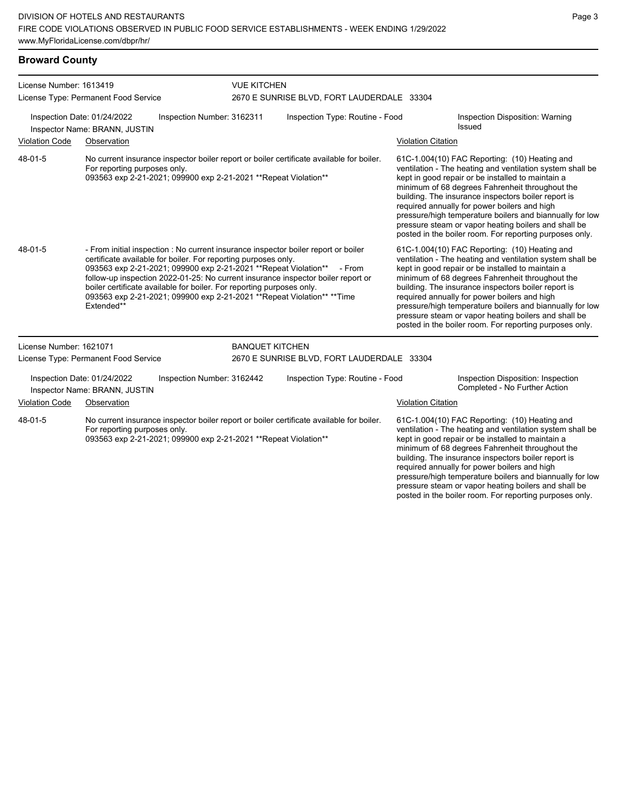## **Broward County**

| License Number: 1613419<br>License Type: Permanent Food Service |                                                              |                                                                                                                                                                                                             |                        | <b>VUE KITCHEN</b><br>2670 E SUNRISE BLVD, FORT LAUDERDALE 33304                                                                                                                                                                                             |                           |                                                                                                                                                                                                                                                                                                                                                                                                                                                                                                          |  |  |
|-----------------------------------------------------------------|--------------------------------------------------------------|-------------------------------------------------------------------------------------------------------------------------------------------------------------------------------------------------------------|------------------------|--------------------------------------------------------------------------------------------------------------------------------------------------------------------------------------------------------------------------------------------------------------|---------------------------|----------------------------------------------------------------------------------------------------------------------------------------------------------------------------------------------------------------------------------------------------------------------------------------------------------------------------------------------------------------------------------------------------------------------------------------------------------------------------------------------------------|--|--|
|                                                                 | Inspection Date: 01/24/2022<br>Inspector Name: BRANN, JUSTIN | Inspection Number: 3162311                                                                                                                                                                                  |                        | Inspection Type: Routine - Food                                                                                                                                                                                                                              |                           | Inspection Disposition: Warning<br>Issued                                                                                                                                                                                                                                                                                                                                                                                                                                                                |  |  |
| <b>Violation Code</b>                                           | Observation                                                  |                                                                                                                                                                                                             |                        |                                                                                                                                                                                                                                                              | <b>Violation Citation</b> |                                                                                                                                                                                                                                                                                                                                                                                                                                                                                                          |  |  |
| 48-01-5                                                         | For reporting purposes only.                                 | 093563 exp 2-21-2021; 099900 exp 2-21-2021 ** Repeat Violation**                                                                                                                                            |                        | No current insurance inspector boiler report or boiler certificate available for boiler.                                                                                                                                                                     |                           | 61C-1.004(10) FAC Reporting: (10) Heating and<br>ventilation - The heating and ventilation system shall be<br>kept in good repair or be installed to maintain a<br>minimum of 68 degrees Fahrenheit throughout the<br>building. The insurance inspectors boiler report is<br>required annually for power boilers and high<br>pressure/high temperature boilers and biannually for low<br>pressure steam or vapor heating boilers and shall be<br>posted in the boiler room. For reporting purposes only. |  |  |
| 48-01-5                                                         | Extended**                                                   | certificate available for boiler. For reporting purposes only.<br>093563 exp 2-21-2021; 099900 exp 2-21-2021 ** Repeat Violation**<br>boiler certificate available for boiler. For reporting purposes only. |                        | - From initial inspection : No current insurance inspector boiler report or boiler<br>- From<br>follow-up inspection 2022-01-25: No current insurance inspector boiler report or<br>093563 exp 2-21-2021; 099900 exp 2-21-2021 ** Repeat Violation** ** Time |                           | 61C-1.004(10) FAC Reporting: (10) Heating and<br>ventilation - The heating and ventilation system shall be<br>kept in good repair or be installed to maintain a<br>minimum of 68 degrees Fahrenheit throughout the<br>building. The insurance inspectors boiler report is<br>required annually for power boilers and high<br>pressure/high temperature boilers and biannually for low<br>pressure steam or vapor heating boilers and shall be<br>posted in the boiler room. For reporting purposes only. |  |  |
| License Number: 1621071                                         |                                                              |                                                                                                                                                                                                             | <b>BANQUET KITCHEN</b> |                                                                                                                                                                                                                                                              |                           |                                                                                                                                                                                                                                                                                                                                                                                                                                                                                                          |  |  |
|                                                                 | License Type: Permanent Food Service                         |                                                                                                                                                                                                             |                        | 2670 E SUNRISE BLVD, FORT LAUDERDALE 33304                                                                                                                                                                                                                   |                           |                                                                                                                                                                                                                                                                                                                                                                                                                                                                                                          |  |  |
|                                                                 | Inspection Date: 01/24/2022<br>Inspector Name: BRANN, JUSTIN | Inspection Number: 3162442                                                                                                                                                                                  |                        | Inspection Type: Routine - Food                                                                                                                                                                                                                              |                           | Inspection Disposition: Inspection<br>Completed - No Further Action                                                                                                                                                                                                                                                                                                                                                                                                                                      |  |  |
| <b>Violation Code</b>                                           | Observation                                                  |                                                                                                                                                                                                             |                        |                                                                                                                                                                                                                                                              | <b>Violation Citation</b> |                                                                                                                                                                                                                                                                                                                                                                                                                                                                                                          |  |  |
| 48-01-5                                                         |                                                              | No current insurance inspector boiler report or boiler certificate available for boiler.<br>For reporting purposes only.<br>093563 exp 2-21-2021; 099900 exp 2-21-2021 ** Repeat Violation**                |                        |                                                                                                                                                                                                                                                              |                           | 61C-1.004(10) FAC Reporting: (10) Heating and<br>ventilation - The heating and ventilation system shall be<br>kept in good repair or be installed to maintain a<br>minimum of 68 degrees Fahrenheit throughout the                                                                                                                                                                                                                                                                                       |  |  |

building. The insurance inspectors boiler report is required annually for power boilers and high

pressure/high temperature boilers and biannually for low pressure steam or vapor heating boilers and shall be posted in the boiler room. For reporting purposes only.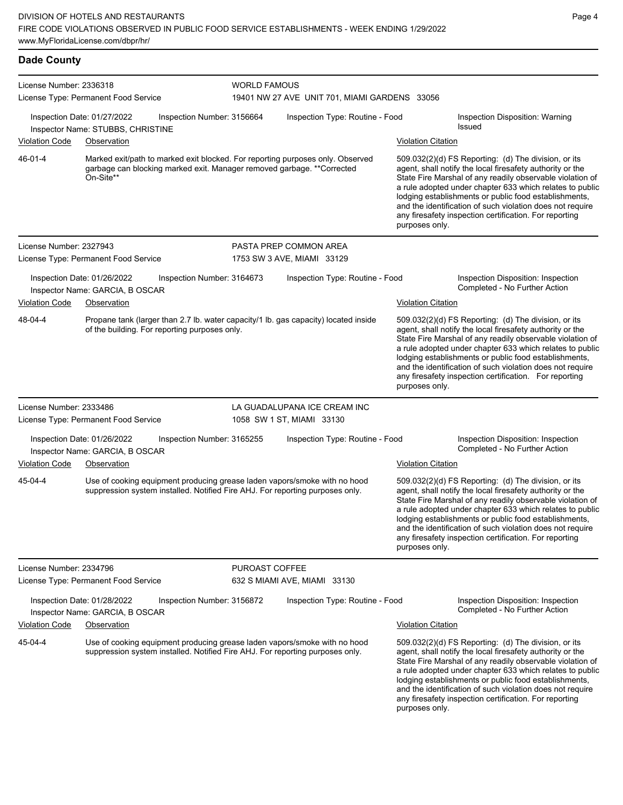## **Dade County**

| License Number: 2336318 |                                                                                                                                                                        |                | <b>WORLD FAMOUS</b>                           |                                                                                                                                                                                                                                                                                                                                                                                                                                              |  |  |  |
|-------------------------|------------------------------------------------------------------------------------------------------------------------------------------------------------------------|----------------|-----------------------------------------------|----------------------------------------------------------------------------------------------------------------------------------------------------------------------------------------------------------------------------------------------------------------------------------------------------------------------------------------------------------------------------------------------------------------------------------------------|--|--|--|
|                         | License Type: Permanent Food Service                                                                                                                                   |                | 19401 NW 27 AVE UNIT 701, MIAMI GARDENS 33056 |                                                                                                                                                                                                                                                                                                                                                                                                                                              |  |  |  |
|                         | Inspection Date: 01/27/2022<br>Inspection Number: 3156664<br>Inspector Name: STUBBS, CHRISTINE                                                                         |                | Inspection Type: Routine - Food               | Inspection Disposition: Warning<br><b>Issued</b>                                                                                                                                                                                                                                                                                                                                                                                             |  |  |  |
| <b>Violation Code</b>   | Observation                                                                                                                                                            |                |                                               | <b>Violation Citation</b>                                                                                                                                                                                                                                                                                                                                                                                                                    |  |  |  |
| 46-01-4                 | Marked exit/path to marked exit blocked. For reporting purposes only. Observed<br>garbage can blocking marked exit. Manager removed garbage. ** Corrected<br>On-Site** |                |                                               | 509.032(2)(d) FS Reporting: (d) The division, or its<br>agent, shall notify the local firesafety authority or the<br>State Fire Marshal of any readily observable violation of<br>a rule adopted under chapter 633 which relates to public<br>lodging establishments or public food establishments,<br>and the identification of such violation does not require<br>any firesafety inspection certification. For reporting<br>purposes only. |  |  |  |
| License Number: 2327943 |                                                                                                                                                                        |                | PASTA PREP COMMON AREA                        |                                                                                                                                                                                                                                                                                                                                                                                                                                              |  |  |  |
|                         | License Type: Permanent Food Service                                                                                                                                   |                | 1753 SW 3 AVE, MIAMI 33129                    |                                                                                                                                                                                                                                                                                                                                                                                                                                              |  |  |  |
|                         | Inspection Date: 01/26/2022<br>Inspection Number: 3164673<br>Inspector Name: GARCIA, B OSCAR                                                                           |                | Inspection Type: Routine - Food               | Inspection Disposition: Inspection<br>Completed - No Further Action                                                                                                                                                                                                                                                                                                                                                                          |  |  |  |
| <b>Violation Code</b>   | Observation                                                                                                                                                            |                |                                               | <b>Violation Citation</b>                                                                                                                                                                                                                                                                                                                                                                                                                    |  |  |  |
| 48-04-4                 | Propane tank (larger than 2.7 lb. water capacity/1 lb. gas capacity) located inside<br>of the building. For reporting purposes only.                                   |                |                                               | 509.032(2)(d) FS Reporting: (d) The division, or its<br>agent, shall notify the local firesafety authority or the<br>State Fire Marshal of any readily observable violation of<br>a rule adopted under chapter 633 which relates to public<br>lodging establishments or public food establishments,<br>and the identification of such violation does not require<br>any firesafety inspection certification. For reporting<br>purposes only. |  |  |  |
| License Number: 2333486 |                                                                                                                                                                        |                | LA GUADALUPANA ICE CREAM INC                  |                                                                                                                                                                                                                                                                                                                                                                                                                                              |  |  |  |
|                         | License Type: Permanent Food Service                                                                                                                                   |                | 1058 SW 1 ST, MIAMI 33130                     |                                                                                                                                                                                                                                                                                                                                                                                                                                              |  |  |  |
|                         | Inspection Date: 01/26/2022<br>Inspection Number: 3165255<br>Inspector Name: GARCIA, B OSCAR                                                                           |                | Inspection Type: Routine - Food               | Inspection Disposition: Inspection<br>Completed - No Further Action                                                                                                                                                                                                                                                                                                                                                                          |  |  |  |
| <b>Violation Code</b>   | Observation                                                                                                                                                            |                |                                               | <b>Violation Citation</b>                                                                                                                                                                                                                                                                                                                                                                                                                    |  |  |  |
| 45-04-4                 | Use of cooking equipment producing grease laden vapors/smoke with no hood<br>suppression system installed. Notified Fire AHJ. For reporting purposes only.             |                |                                               | 509.032(2)(d) FS Reporting: (d) The division, or its<br>agent, shall notify the local firesafety authority or the<br>State Fire Marshal of any readily observable violation of<br>a rule adopted under chapter 633 which relates to public<br>lodging establishments or public food establishments,<br>and the identification of such violation does not require<br>any firesafety inspection certification. For reporting<br>purposes only. |  |  |  |
| License Number: 2334796 | License Type: Permanent Food Service                                                                                                                                   | PUROAST COFFEE | 632 S MIAMI AVE, MIAMI 33130                  |                                                                                                                                                                                                                                                                                                                                                                                                                                              |  |  |  |
|                         | Inspection Date: 01/28/2022<br>Inspection Number: 3156872<br>Inspector Name: GARCIA, B OSCAR                                                                           |                | Inspection Type: Routine - Food               | Inspection Disposition: Inspection<br>Completed - No Further Action                                                                                                                                                                                                                                                                                                                                                                          |  |  |  |
| <b>Violation Code</b>   | Observation                                                                                                                                                            |                |                                               | <b>Violation Citation</b>                                                                                                                                                                                                                                                                                                                                                                                                                    |  |  |  |
| 45-04-4                 | Use of cooking equipment producing grease laden vapors/smoke with no hood<br>suppression system installed. Notified Fire AHJ. For reporting purposes only.             |                |                                               | 509.032(2)(d) FS Reporting: (d) The division, or its<br>agent, shall notify the local firesafety authority or the<br>State Fire Marshal of any readily observable violation of<br>a rule adopted under chapter 633 which relates to public<br>lodging establishments or public food establishments,<br>and the identification of such violation does not require<br>any firesafety inspection certification. For reporting<br>purposes only. |  |  |  |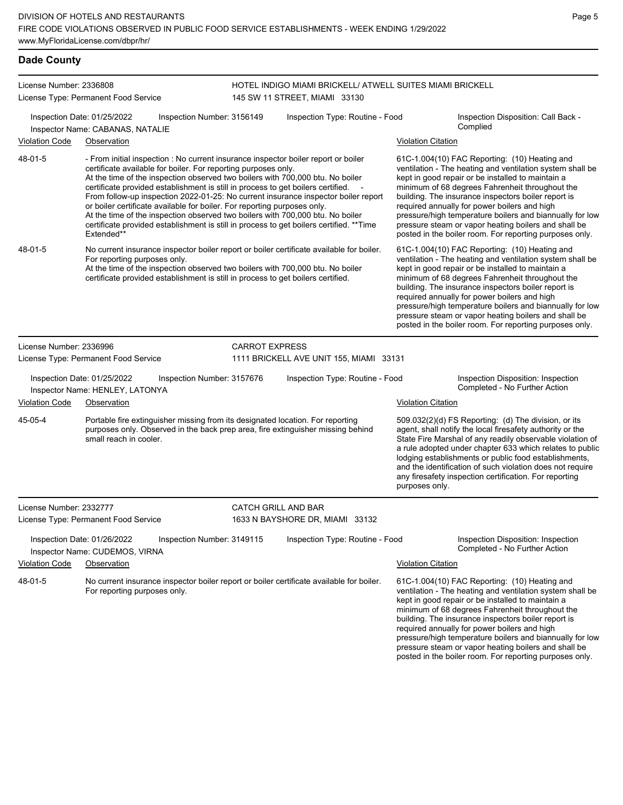## **Dade County**

#### License Number: 2336808 License Type: Permanent Food Service HOTEL INDIGO MIAMI BRICKELL/ ATWELL SUITES MIAMI BRICKELL 145 SW 11 STREET, MIAMI 33130 Inspection Date: 01/25/2022 Inspection Number: 3156149 Inspection Type: Routine - Food Inspection Disposition: Call Back - Complied Inspector Name: CABANAS, NATALIE Violation Code Observation Violation Citation - From initial inspection : No current insurance inspector boiler report or boiler certificate available for boiler. For reporting purposes only. At the time of the inspection observed two boilers with 700,000 btu. No boiler certificate provided establishment is still in process to get boilers certified. - From follow-up inspection 2022-01-25: No current insurance inspector boiler report or boiler certificate available for boiler. For reporting purposes only. At the time of the inspection observed two boilers with 700,000 btu. No boiler certificate provided establishment is still in process to get boilers certified. \*\*Time Extended\*\* 61C-1.004(10) FAC Reporting: (10) Heating and ventilation - The heating and ventilation system shall be kept in good repair or be installed to maintain a minimum of 68 degrees Fahrenheit throughout the building. The insurance inspectors boiler report is required annually for power boilers and high pressure/high temperature boilers and biannually for low pressure steam or vapor heating boilers and shall be posted in the boiler room. For reporting purposes only. 48-01-5 No current insurance inspector boiler report or boiler certificate available for boiler. For reporting purposes only. At the time of the inspection observed two boilers with 700,000 btu. No boiler certificate provided establishment is still in process to get boilers certified. 61C-1.004(10) FAC Reporting: (10) Heating and ventilation - The heating and ventilation system shall be kept in good repair or be installed to maintain a minimum of 68 degrees Fahrenheit throughout the building. The insurance inspectors boiler report is required annually for power boilers and high pressure/high temperature boilers and biannually for low pressure steam or vapor heating boilers and shall be posted in the boiler room. For reporting purposes only. 48-01-5 License Number: 2336996 License Type: Permanent Food Service CARROT EXPRESS 1111 BRICKELL AVE UNIT 155, MIAMI 33131 Inspection Date: 01/25/2022 Inspection Number: 3157676 Inspection Type: Routine - Food Inspection Disposition: Inspection Inspector Name: HENLEY, LATONYA Violation Code Observation Violation Citation Portable fire extinguisher missing from its designated location. For reporting purposes only. Observed in the back prep area, fire extinguisher missing behind small reach in cooler. 509.032(2)(d) FS Reporting: (d) The division, or its agent, shall notify the local firesafety authority or the State Fire Marshal of any readily observable violation of a rule adopted under chapter 633 which relates to public lodging establishments or public food establishments, and the identification of such violation does not require any firesafety inspection certification. For reporting purposes only. 45-05-4 License Number: 2332777 License Type: Permanent Food Service CATCH GRILL AND BAR 1633 N BAYSHORE DR, MIAMI 33132 Inspection Date: 01/26/2022 Inspection Number: 3149115 Inspection Type: Routine - Food Inspection Disposition: Inspection Inspector Name: CUDEMOS, VIRNA **Inspector Name: CUDEMOS, VIRNA** Violation Code Observation Violation Citation No current insurance inspector boiler report or boiler certificate available for boiler. For reporting purposes only. 61C-1.004(10) FAC Reporting: (10) Heating and ventilation - The heating and ventilation system shall be kept in good repair or be installed to maintain a minimum of 68 degrees Fahrenheit throughout the building. The insurance inspectors boiler report is required annually for power boilers and high pressure/high temperature boilers and biannually for low pressure steam or vapor heating boilers and shall be 48-01-5

posted in the boiler room. For reporting purposes only.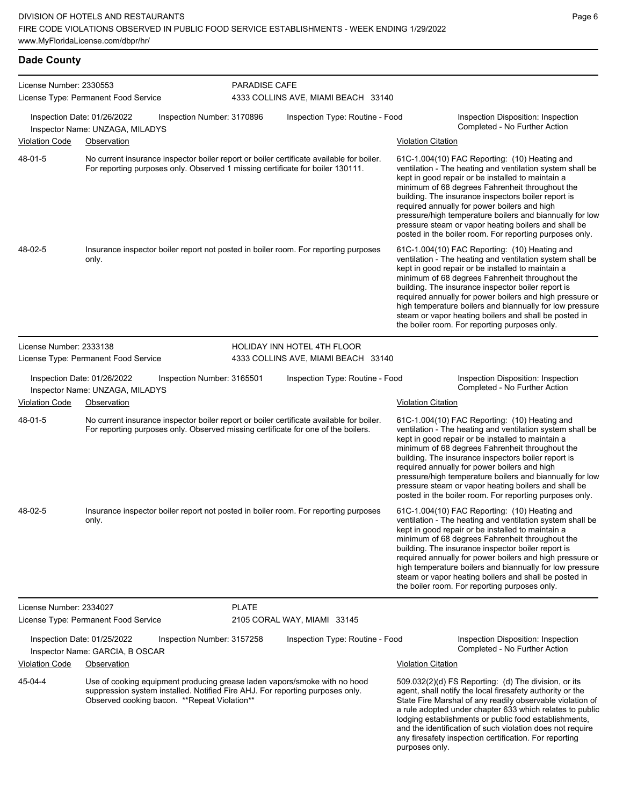| License Number: 2330553<br>License Type: Permanent Food Service |                                                                | <b>PARADISE CAFE</b>                          | 4333 COLLINS AVE, MIAMI BEACH 33140 |                                                                                                                                                                               |                           |                                                                                                                                                                                                                                                                                                                                                                                                                                                                                                            |
|-----------------------------------------------------------------|----------------------------------------------------------------|-----------------------------------------------|-------------------------------------|-------------------------------------------------------------------------------------------------------------------------------------------------------------------------------|---------------------------|------------------------------------------------------------------------------------------------------------------------------------------------------------------------------------------------------------------------------------------------------------------------------------------------------------------------------------------------------------------------------------------------------------------------------------------------------------------------------------------------------------|
|                                                                 | Inspection Date: 01/26/2022<br>Inspector Name: UNZAGA, MILADYS | Inspection Number: 3170896                    |                                     | Inspection Type: Routine - Food                                                                                                                                               |                           | Inspection Disposition: Inspection<br>Completed - No Further Action                                                                                                                                                                                                                                                                                                                                                                                                                                        |
| <b>Violation Code</b>                                           | Observation                                                    |                                               |                                     |                                                                                                                                                                               | <b>Violation Citation</b> |                                                                                                                                                                                                                                                                                                                                                                                                                                                                                                            |
| 48-01-5                                                         |                                                                |                                               |                                     | No current insurance inspector boiler report or boiler certificate available for boiler.<br>For reporting purposes only. Observed 1 missing certificate for boiler 130111.    |                           | 61C-1.004(10) FAC Reporting: (10) Heating and<br>ventilation - The heating and ventilation system shall be<br>kept in good repair or be installed to maintain a<br>minimum of 68 degrees Fahrenheit throughout the<br>building. The insurance inspectors boiler report is<br>required annually for power boilers and high<br>pressure/high temperature boilers and biannually for low<br>pressure steam or vapor heating boilers and shall be<br>posted in the boiler room. For reporting purposes only.   |
| 48-02-5                                                         | only.                                                          |                                               |                                     | Insurance inspector boiler report not posted in boiler room. For reporting purposes                                                                                           |                           | 61C-1.004(10) FAC Reporting: (10) Heating and<br>ventilation - The heating and ventilation system shall be<br>kept in good repair or be installed to maintain a<br>minimum of 68 degrees Fahrenheit throughout the<br>building. The insurance inspector boiler report is<br>required annually for power boilers and high pressure or<br>high temperature boilers and biannually for low pressure<br>steam or vapor heating boilers and shall be posted in<br>the boiler room. For reporting purposes only. |
| License Number: 2333138                                         |                                                                |                                               |                                     | HOLIDAY INN HOTEL 4TH FLOOR                                                                                                                                                   |                           |                                                                                                                                                                                                                                                                                                                                                                                                                                                                                                            |
|                                                                 | License Type: Permanent Food Service                           |                                               |                                     | 4333 COLLINS AVE, MIAMI BEACH 33140                                                                                                                                           |                           |                                                                                                                                                                                                                                                                                                                                                                                                                                                                                                            |
|                                                                 | Inspection Date: 01/26/2022<br>Inspector Name: UNZAGA, MILADYS | Inspection Number: 3165501                    |                                     | Inspection Type: Routine - Food                                                                                                                                               |                           | Inspection Disposition: Inspection<br>Completed - No Further Action                                                                                                                                                                                                                                                                                                                                                                                                                                        |
| <b>Violation Code</b>                                           | Observation                                                    |                                               |                                     |                                                                                                                                                                               | <b>Violation Citation</b> |                                                                                                                                                                                                                                                                                                                                                                                                                                                                                                            |
| 48-01-5                                                         |                                                                |                                               |                                     | No current insurance inspector boiler report or boiler certificate available for boiler.<br>For reporting purposes only. Observed missing certificate for one of the boilers. |                           | 61C-1.004(10) FAC Reporting: (10) Heating and<br>ventilation - The heating and ventilation system shall be<br>kept in good repair or be installed to maintain a<br>minimum of 68 degrees Fahrenheit throughout the<br>building. The insurance inspectors boiler report is<br>required annually for power boilers and high<br>pressure/high temperature boilers and biannually for low<br>pressure steam or vapor heating boilers and shall be<br>posted in the boiler room. For reporting purposes only.   |
| 48-02-5                                                         | only.                                                          |                                               |                                     | Insurance inspector boiler report not posted in boiler room. For reporting purposes                                                                                           |                           | 61C-1.004(10) FAC Reporting: (10) Heating and<br>ventilation - The heating and ventilation system shall be<br>kept in good repair or be installed to maintain a<br>minimum of 68 degrees Fahrenheit throughout the<br>building. The insurance inspector boiler report is<br>required annually for power boilers and high pressure or<br>high temperature boilers and biannually for low pressure<br>steam or vapor heating boilers and shall be posted in<br>the boiler room. For reporting purposes only. |
| License Number: 2334027                                         |                                                                |                                               | <b>PLATE</b>                        |                                                                                                                                                                               |                           |                                                                                                                                                                                                                                                                                                                                                                                                                                                                                                            |
|                                                                 | License Type: Permanent Food Service                           |                                               |                                     | 2105 CORAL WAY, MIAMI 33145                                                                                                                                                   |                           |                                                                                                                                                                                                                                                                                                                                                                                                                                                                                                            |
|                                                                 | Inspection Date: 01/25/2022<br>Inspector Name: GARCIA, B OSCAR | Inspection Number: 3157258                    |                                     | Inspection Type: Routine - Food                                                                                                                                               |                           | Inspection Disposition: Inspection<br>Completed - No Further Action                                                                                                                                                                                                                                                                                                                                                                                                                                        |
| <b>Violation Code</b>                                           | Observation                                                    |                                               |                                     |                                                                                                                                                                               | <b>Violation Citation</b> |                                                                                                                                                                                                                                                                                                                                                                                                                                                                                                            |
| 45-04-4                                                         |                                                                | Observed cooking bacon. ** Repeat Violation** |                                     | Use of cooking equipment producing grease laden vapors/smoke with no hood<br>suppression system installed. Notified Fire AHJ. For reporting purposes only.                    | purposes only.            | 509.032(2)(d) FS Reporting: (d) The division, or its<br>agent, shall notify the local firesafety authority or the<br>State Fire Marshal of any readily observable violation of<br>a rule adopted under chapter 633 which relates to public<br>lodging establishments or public food establishments,<br>and the identification of such violation does not require<br>any firesafety inspection certification. For reporting                                                                                 |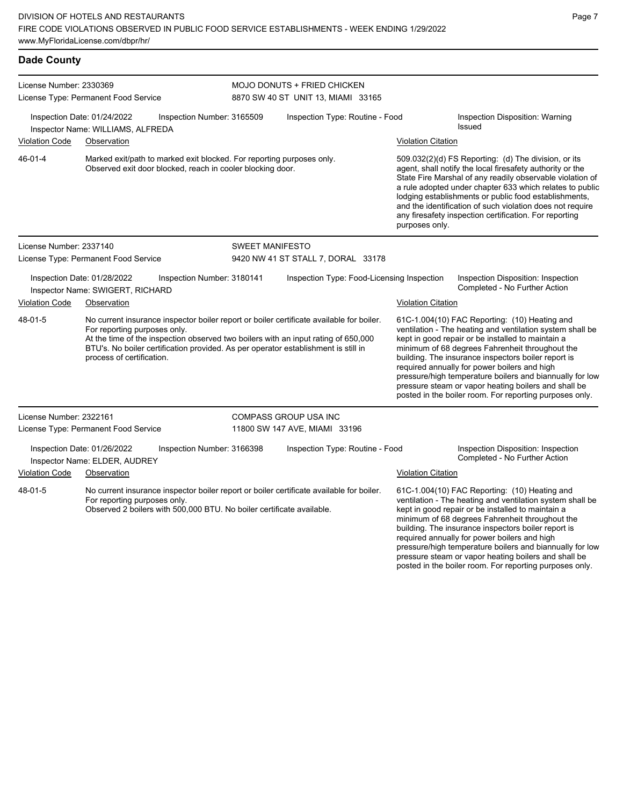| <b>Dade County</b>      |                                                                                                                                     |                            |                        |                                                                                                                                                                                                                                                                      |                                                                                                                                                                                                                                                                                                                                                                                                                                              |                                                                                                                                                                                                                                                                                                                                                                                                                                                                                                          |  |
|-------------------------|-------------------------------------------------------------------------------------------------------------------------------------|----------------------------|------------------------|----------------------------------------------------------------------------------------------------------------------------------------------------------------------------------------------------------------------------------------------------------------------|----------------------------------------------------------------------------------------------------------------------------------------------------------------------------------------------------------------------------------------------------------------------------------------------------------------------------------------------------------------------------------------------------------------------------------------------|----------------------------------------------------------------------------------------------------------------------------------------------------------------------------------------------------------------------------------------------------------------------------------------------------------------------------------------------------------------------------------------------------------------------------------------------------------------------------------------------------------|--|
| License Number: 2330369 | License Type: Permanent Food Service                                                                                                |                            |                        | MOJO DONUTS + FRIED CHICKEN<br>8870 SW 40 ST UNIT 13, MIAMI 33165                                                                                                                                                                                                    |                                                                                                                                                                                                                                                                                                                                                                                                                                              |                                                                                                                                                                                                                                                                                                                                                                                                                                                                                                          |  |
|                         | Inspection Date: 01/24/2022<br>Inspector Name: WILLIAMS, ALFREDA                                                                    | Inspection Number: 3165509 |                        | Inspection Type: Routine - Food                                                                                                                                                                                                                                      |                                                                                                                                                                                                                                                                                                                                                                                                                                              | <b>Inspection Disposition: Warning</b><br>Issued                                                                                                                                                                                                                                                                                                                                                                                                                                                         |  |
| <b>Violation Code</b>   | Observation                                                                                                                         |                            |                        |                                                                                                                                                                                                                                                                      | <b>Violation Citation</b>                                                                                                                                                                                                                                                                                                                                                                                                                    |                                                                                                                                                                                                                                                                                                                                                                                                                                                                                                          |  |
| 46-01-4                 | Marked exit/path to marked exit blocked. For reporting purposes only.<br>Observed exit door blocked, reach in cooler blocking door. |                            |                        |                                                                                                                                                                                                                                                                      | 509.032(2)(d) FS Reporting: (d) The division, or its<br>agent, shall notify the local firesafety authority or the<br>State Fire Marshal of any readily observable violation of<br>a rule adopted under chapter 633 which relates to public<br>lodging establishments or public food establishments,<br>and the identification of such violation does not require<br>any firesafety inspection certification. For reporting<br>purposes only. |                                                                                                                                                                                                                                                                                                                                                                                                                                                                                                          |  |
| License Number: 2337140 |                                                                                                                                     |                            | <b>SWEET MANIFESTO</b> |                                                                                                                                                                                                                                                                      |                                                                                                                                                                                                                                                                                                                                                                                                                                              |                                                                                                                                                                                                                                                                                                                                                                                                                                                                                                          |  |
|                         | License Type: Permanent Food Service                                                                                                |                            |                        | 9420 NW 41 ST STALL 7, DORAL 33178                                                                                                                                                                                                                                   |                                                                                                                                                                                                                                                                                                                                                                                                                                              |                                                                                                                                                                                                                                                                                                                                                                                                                                                                                                          |  |
|                         | Inspection Date: 01/28/2022<br>Inspector Name: SWIGERT, RICHARD                                                                     | Inspection Number: 3180141 |                        | Inspection Type: Food-Licensing Inspection                                                                                                                                                                                                                           |                                                                                                                                                                                                                                                                                                                                                                                                                                              | Inspection Disposition: Inspection<br>Completed - No Further Action                                                                                                                                                                                                                                                                                                                                                                                                                                      |  |
| <b>Violation Code</b>   | Observation                                                                                                                         |                            |                        |                                                                                                                                                                                                                                                                      | <b>Violation Citation</b>                                                                                                                                                                                                                                                                                                                                                                                                                    |                                                                                                                                                                                                                                                                                                                                                                                                                                                                                                          |  |
| 48-01-5                 | For reporting purposes only.<br>process of certification.                                                                           |                            |                        | No current insurance inspector boiler report or boiler certificate available for boiler.<br>At the time of the inspection observed two boilers with an input rating of 650,000<br>BTU's. No boiler certification provided. As per operator establishment is still in |                                                                                                                                                                                                                                                                                                                                                                                                                                              | 61C-1.004(10) FAC Reporting: (10) Heating and<br>ventilation - The heating and ventilation system shall be<br>kept in good repair or be installed to maintain a<br>minimum of 68 degrees Fahrenheit throughout the<br>building. The insurance inspectors boiler report is<br>required annually for power boilers and high<br>pressure/high temperature boilers and biannually for low<br>pressure steam or vapor heating boilers and shall be<br>posted in the boiler room. For reporting purposes only. |  |
| License Number: 2322161 |                                                                                                                                     |                            |                        | <b>COMPASS GROUP USA INC</b>                                                                                                                                                                                                                                         |                                                                                                                                                                                                                                                                                                                                                                                                                                              |                                                                                                                                                                                                                                                                                                                                                                                                                                                                                                          |  |
|                         | License Type: Permanent Food Service                                                                                                |                            |                        | 11800 SW 147 AVE, MIAMI 33196                                                                                                                                                                                                                                        |                                                                                                                                                                                                                                                                                                                                                                                                                                              |                                                                                                                                                                                                                                                                                                                                                                                                                                                                                                          |  |
|                         | Inspection Date: 01/26/2022<br>Inspector Name: ELDER, AUDREY                                                                        | Inspection Number: 3166398 |                        | Inspection Type: Routine - Food                                                                                                                                                                                                                                      |                                                                                                                                                                                                                                                                                                                                                                                                                                              | Inspection Disposition: Inspection<br>Completed - No Further Action                                                                                                                                                                                                                                                                                                                                                                                                                                      |  |
| <b>Violation Code</b>   | Observation                                                                                                                         |                            |                        |                                                                                                                                                                                                                                                                      | <b>Violation Citation</b>                                                                                                                                                                                                                                                                                                                                                                                                                    |                                                                                                                                                                                                                                                                                                                                                                                                                                                                                                          |  |
| 48-01-5                 | For reporting purposes only.<br>Observed 2 boilers with 500,000 BTU. No boiler certificate available.                               |                            |                        | No current insurance inspector boiler report or boiler certificate available for boiler.                                                                                                                                                                             |                                                                                                                                                                                                                                                                                                                                                                                                                                              | 61C-1.004(10) FAC Reporting: (10) Heating and<br>ventilation - The heating and ventilation system shall be<br>kept in good repair or be installed to maintain a<br>minimum of 68 degrees Fahrenheit throughout the<br>building. The insurance inspectors boiler report is                                                                                                                                                                                                                                |  |

required annually for power boilers and high

pressure/high temperature boilers and biannually for low pressure steam or vapor heating boilers and shall be posted in the boiler room. For reporting purposes only.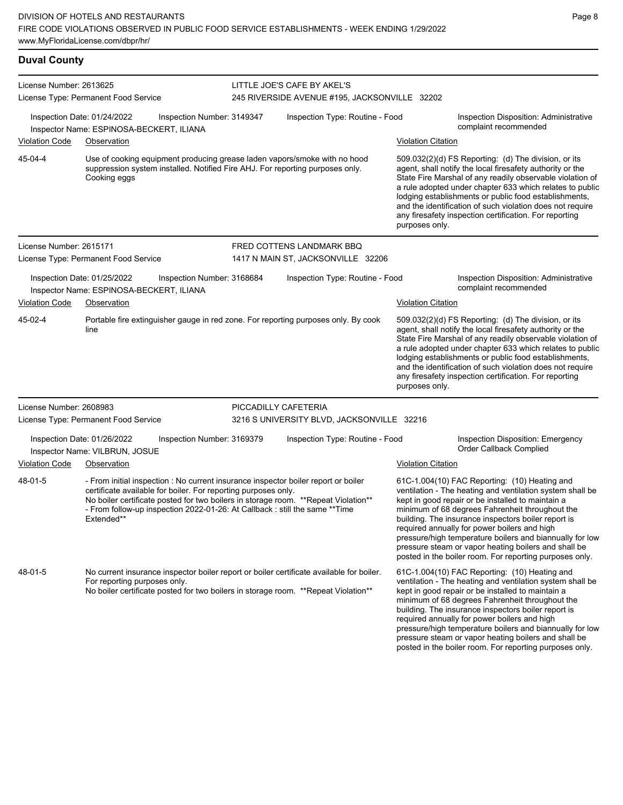#### **Duval County** License Number: 2613625 License Type: Permanent Food Service LITTLE JOE'S CAFE BY AKEL'S 245 RIVERSIDE AVENUE #195, JACKSONVILLE 32202 Inspection Date: 01/24/2022 Inspection Number: 3149347 Inspection Type: Routine - Food Inspection Disposition: Administrative Inspector Name: ESPINOSA-BECKERT, ILIANA Violation Code Observation Violation Citation Use of cooking equipment producing grease laden vapors/smoke with no hood suppression system installed. Notified Fire AHJ. For reporting purposes only. Cooking eggs 509.032(2)(d) FS Reporting: (d) The division, or its agent, shall notify the local firesafety authority or the State Fire Marshal of any readily observable violation of a rule adopted under chapter 633 which relates to public lodging establishments or public food establishments, and the identification of such violation does not require any firesafety inspection certification. For reporting purposes only. 45-04-4 License Number: 2615171 License Type: Permanent Food Service FRED COTTENS LANDMARK BBQ 1417 N MAIN ST, JACKSONVILLE 32206 Inspection Date: 01/25/2022 Inspection Number: 3168684 Inspection Type: Routine - Food Inspection Disposition: Administrative Inspector Name: ESPINOSA-BECKERT, ILIANA Violation Code Observation **Violation Citation** Violation Citation Citation Portable fire extinguisher gauge in red zone. For reporting purposes only. By cook line 509.032(2)(d) FS Reporting: (d) The division, or its agent, shall notify the local firesafety authority or the State Fire Marshal of any readily observable violation of a rule adopted under chapter 633 which relates to public lodging establishments or public food establishments, and the identification of such violation does not require any firesafety inspection certification. For reporting purposes only. 45-02-4 License Number: 2608983 License Type: Permanent Food Service PICCADILLY CAFETERIA 3216 S UNIVERSITY BLVD, JACKSONVILLE 32216 Inspection Date: 01/26/2022 Inspection Number: 3169379 Inspection Type: Routine - Food Inspection Disposition: Emergency<br>Inspector Name: VILBRUN JOSUE Inspector Name: VILBRUN, JOSUE Violation Code Observation Violation Citation - From initial inspection : No current insurance inspector boiler report or boiler certificate available for boiler. For reporting purposes only. No boiler certificate posted for two boilers in storage room. \*\*Repeat Violation\*\* - From follow-up inspection 2022-01-26: At Callback : still the same \*\*Time Extended\*\* 61C-1.004(10) FAC Reporting: (10) Heating and ventilation - The heating and ventilation system shall be kept in good repair or be installed to maintain a minimum of 68 degrees Fahrenheit throughout the building. The insurance inspectors boiler report is required annually for power boilers and high pressure/high temperature boilers and biannually for low pressure steam or vapor heating boilers and shall be posted in the boiler room. For reporting purposes only. 48-01-5 No current insurance inspector boiler report or boiler certificate available for boiler. For reporting purposes only. No boiler certificate posted for two boilers in storage room. \*\*Repeat Violation\*\* 61C-1.004(10) FAC Reporting: (10) Heating and ventilation - The heating and ventilation system shall be kept in good repair or be installed to maintain a minimum of 68 degrees Fahrenheit throughout the 48-01-5

building. The insurance inspectors boiler report is required annually for power boilers and high

pressure/high temperature boilers and biannually for low pressure steam or vapor heating boilers and shall be posted in the boiler room. For reporting purposes only.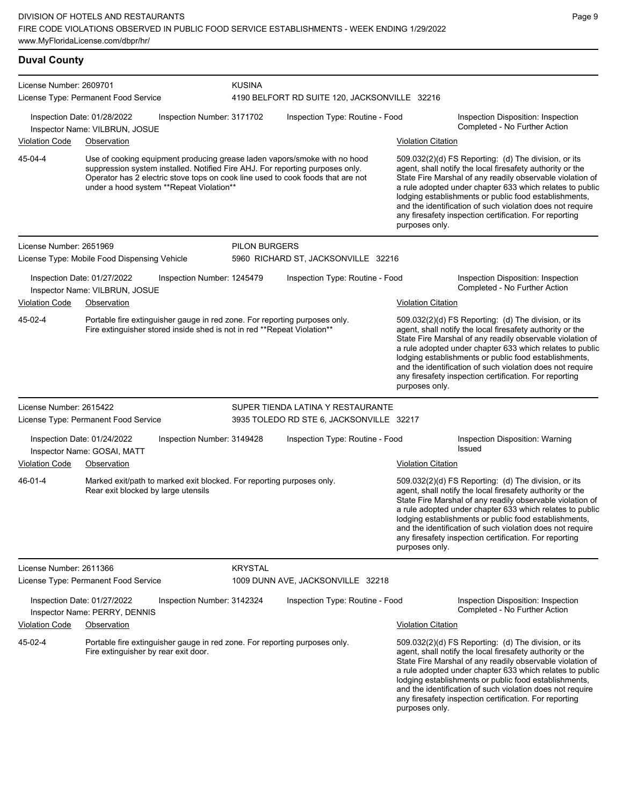|                                                                                                                                                                  | www.MyFloridaLicense.com/dbpr/hr/                                                                                                                                                                                                                                                         |                            |                                                                                                                                                                                                                                            |                           |                                                                                                                                                                                                                                                                                                                                                                                                                                              |  |
|------------------------------------------------------------------------------------------------------------------------------------------------------------------|-------------------------------------------------------------------------------------------------------------------------------------------------------------------------------------------------------------------------------------------------------------------------------------------|----------------------------|--------------------------------------------------------------------------------------------------------------------------------------------------------------------------------------------------------------------------------------------|---------------------------|----------------------------------------------------------------------------------------------------------------------------------------------------------------------------------------------------------------------------------------------------------------------------------------------------------------------------------------------------------------------------------------------------------------------------------------------|--|
| <b>Duval County</b>                                                                                                                                              |                                                                                                                                                                                                                                                                                           |                            |                                                                                                                                                                                                                                            |                           |                                                                                                                                                                                                                                                                                                                                                                                                                                              |  |
| License Number: 2609701                                                                                                                                          |                                                                                                                                                                                                                                                                                           | <b>KUSINA</b>              |                                                                                                                                                                                                                                            |                           |                                                                                                                                                                                                                                                                                                                                                                                                                                              |  |
|                                                                                                                                                                  | License Type: Permanent Food Service<br>Inspection Date: 01/28/2022<br>Inspector Name: VILBRUN, JOSUE                                                                                                                                                                                     | Inspection Number: 3171702 | 4190 BELFORT RD SUITE 120, JACKSONVILLE 32216<br>Inspection Type: Routine - Food                                                                                                                                                           |                           | Inspection Disposition: Inspection<br>Completed - No Further Action                                                                                                                                                                                                                                                                                                                                                                          |  |
| Violation Code                                                                                                                                                   | Observation                                                                                                                                                                                                                                                                               |                            |                                                                                                                                                                                                                                            |                           | <b>Violation Citation</b>                                                                                                                                                                                                                                                                                                                                                                                                                    |  |
| 45-04-4                                                                                                                                                          | Use of cooking equipment producing grease laden vapors/smoke with no hood<br>suppression system installed. Notified Fire AHJ. For reporting purposes only.<br>Operator has 2 electric stove tops on cook line used to cook foods that are not<br>under a hood system **Repeat Violation** |                            |                                                                                                                                                                                                                                            |                           | 509.032(2)(d) FS Reporting: (d) The division, or its<br>agent, shall notify the local firesafety authority or the<br>State Fire Marshal of any readily observable violation of<br>a rule adopted under chapter 633 which relates to public<br>lodging establishments or public food establishments,<br>and the identification of such violation does not require<br>any firesafety inspection certification. For reporting<br>purposes only. |  |
| License Number: 2651969                                                                                                                                          |                                                                                                                                                                                                                                                                                           | <b>PILON BURGERS</b>       |                                                                                                                                                                                                                                            |                           |                                                                                                                                                                                                                                                                                                                                                                                                                                              |  |
|                                                                                                                                                                  | License Type: Mobile Food Dispensing Vehicle                                                                                                                                                                                                                                              |                            | 5960 RICHARD ST, JACKSONVILLE 32216                                                                                                                                                                                                        |                           |                                                                                                                                                                                                                                                                                                                                                                                                                                              |  |
|                                                                                                                                                                  | Inspection Date: 01/27/2022<br>Inspector Name: VILBRUN, JOSUE                                                                                                                                                                                                                             | Inspection Number: 1245479 | Inspection Type: Routine - Food                                                                                                                                                                                                            |                           | Inspection Disposition: Inspection<br>Completed - No Further Action                                                                                                                                                                                                                                                                                                                                                                          |  |
| <b>Violation Code</b>                                                                                                                                            | Observation                                                                                                                                                                                                                                                                               |                            |                                                                                                                                                                                                                                            | <b>Violation Citation</b> |                                                                                                                                                                                                                                                                                                                                                                                                                                              |  |
| 45-02-4<br>Portable fire extinguisher gauge in red zone. For reporting purposes only.<br>Fire extinguisher stored inside shed is not in red **Repeat Violation** |                                                                                                                                                                                                                                                                                           |                            | 509.032(2)(d) FS Reporting: (d) The division, or its<br>agent, shall notify the local firesafety authority or the<br>State Fire Marshal of any readily observable violation of<br>a rule adopted under chapter 633 which relates to public |                           |                                                                                                                                                                                                                                                                                                                                                                                                                                              |  |

under chapter 633 which relates to public lodging establishments or public food establishments, and the identification of such violation does not require any firesafety inspection certification. For reporting purposes only.

License Number: 2615422 License Type: Permanent Food Service SUPER TIENDA LATINA Y RESTAURANTE 3935 TOLEDO RD STE 6, JACKSONVILLE 32217 Inspection Date: 01/24/2022 Inspection Number: 3149428 Inspection Type: Routine - Food Inspection Disposition: Warning<br>Inspector Name: GOSAL MATT Inspector Name: GOSAI, MATT Violation Code Observation **Violation Citation** Violation Citation Citation Citation Marked exit/path to marked exit blocked. For reporting purposes only. Rear exit blocked by large utensils 509.032(2)(d) FS Reporting: (d) The division, or its agent, shall notify the local firesafety authority or the State Fire Marshal of any readily observable violation of a rule adopted under chapter 633 which relates to public lodging establishments or public food establishments, and the identification of such violation does not require any firesafety inspection certification. For reporting purposes only. 46-01-4 License Number: 2611366 KRYSTAL

License Type: Permanent Food Service 1009 DUNN AVE, JACKSONVILLE 32218 Inspection Date: 01/27/2022 Inspection Number: 3142324 Inspection Type: Routine - Food Inspection Disposition: Inspection<br>Inspector Name: PERRY DENNIS Inspector Name: PERRY, DENNIS Violation Code Observation Violation Citation Portable fire extinguisher gauge in red zone. For reporting purposes only. Fire extinguisher by rear exit door. 509.032(2)(d) FS Reporting: (d) The division, or its agent, shall notify the local firesafety authority or the State Fire Marshal of any readily observable violation of a rule adopted under chapter 633 which relates to public lodging establishments or public food establishments, and the identification of such violation does not require any firesafety inspection certification. For reporting purposes only. 45-02-4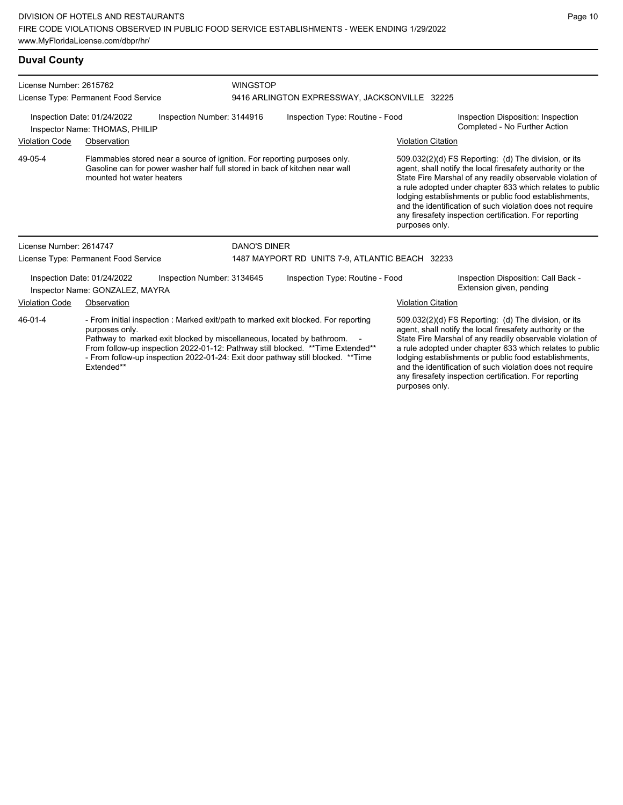## **Duval County**

| License Number: 2615762 |                                                                                                                                                                                                                                                                                                                                                                   | <b>WINGSTOP</b>                                                                                                                                          |                                                                                                                                                                                                                                                                                                                                                                                                                                              |                                                 |                           |                                                                                                                                                                                                                                                                                                                                                                                                                            |
|-------------------------|-------------------------------------------------------------------------------------------------------------------------------------------------------------------------------------------------------------------------------------------------------------------------------------------------------------------------------------------------------------------|----------------------------------------------------------------------------------------------------------------------------------------------------------|----------------------------------------------------------------------------------------------------------------------------------------------------------------------------------------------------------------------------------------------------------------------------------------------------------------------------------------------------------------------------------------------------------------------------------------------|-------------------------------------------------|---------------------------|----------------------------------------------------------------------------------------------------------------------------------------------------------------------------------------------------------------------------------------------------------------------------------------------------------------------------------------------------------------------------------------------------------------------------|
|                         | License Type: Permanent Food Service                                                                                                                                                                                                                                                                                                                              |                                                                                                                                                          |                                                                                                                                                                                                                                                                                                                                                                                                                                              | 9416 ARLINGTON EXPRESSWAY, JACKSONVILLE 32225   |                           |                                                                                                                                                                                                                                                                                                                                                                                                                            |
|                         | Inspection Date: 01/24/2022<br>Inspector Name: THOMAS, PHILIP                                                                                                                                                                                                                                                                                                     | Inspection Number: 3144916                                                                                                                               |                                                                                                                                                                                                                                                                                                                                                                                                                                              | Inspection Type: Routine - Food                 |                           | Inspection Disposition: Inspection<br>Completed - No Further Action                                                                                                                                                                                                                                                                                                                                                        |
| <b>Violation Code</b>   | Observation                                                                                                                                                                                                                                                                                                                                                       |                                                                                                                                                          |                                                                                                                                                                                                                                                                                                                                                                                                                                              |                                                 | <b>Violation Citation</b> |                                                                                                                                                                                                                                                                                                                                                                                                                            |
| 49-05-4                 | mounted hot water heaters                                                                                                                                                                                                                                                                                                                                         | Flammables stored near a source of ignition. For reporting purposes only.<br>Gasoline can for power washer half full stored in back of kitchen near wall |                                                                                                                                                                                                                                                                                                                                                                                                                                              |                                                 | purposes only.            | 509.032(2)(d) FS Reporting: (d) The division, or its<br>agent, shall notify the local firesafety authority or the<br>State Fire Marshal of any readily observable violation of<br>a rule adopted under chapter 633 which relates to public<br>lodging establishments or public food establishments,<br>and the identification of such violation does not require<br>any firesafety inspection certification. For reporting |
| License Number: 2614747 |                                                                                                                                                                                                                                                                                                                                                                   |                                                                                                                                                          | <b>DANO'S DINER</b>                                                                                                                                                                                                                                                                                                                                                                                                                          |                                                 |                           |                                                                                                                                                                                                                                                                                                                                                                                                                            |
|                         | License Type: Permanent Food Service                                                                                                                                                                                                                                                                                                                              |                                                                                                                                                          |                                                                                                                                                                                                                                                                                                                                                                                                                                              | 1487 MAYPORT RD UNITS 7-9, ATLANTIC BEACH 32233 |                           |                                                                                                                                                                                                                                                                                                                                                                                                                            |
|                         | Inspection Date: 01/24/2022<br>Inspector Name: GONZALEZ, MAYRA                                                                                                                                                                                                                                                                                                    | Inspection Number: 3134645                                                                                                                               |                                                                                                                                                                                                                                                                                                                                                                                                                                              | Inspection Type: Routine - Food                 |                           | Inspection Disposition: Call Back -<br>Extension given, pending                                                                                                                                                                                                                                                                                                                                                            |
| <b>Violation Code</b>   | Observation                                                                                                                                                                                                                                                                                                                                                       |                                                                                                                                                          |                                                                                                                                                                                                                                                                                                                                                                                                                                              |                                                 | <b>Violation Citation</b> |                                                                                                                                                                                                                                                                                                                                                                                                                            |
| 46-01-4                 | - From initial inspection : Marked exit/path to marked exit blocked. For reporting<br>purposes only.<br>Pathway to marked exit blocked by miscellaneous, located by bathroom.<br>From follow-up inspection 2022-01-12: Pathway still blocked. ** Time Extended**<br>- From follow-up inspection 2022-01-24: Exit door pathway still blocked. **Time<br>Extended** |                                                                                                                                                          | 509.032(2)(d) FS Reporting: (d) The division, or its<br>agent, shall notify the local firesafety authority or the<br>State Fire Marshal of any readily observable violation of<br>a rule adopted under chapter 633 which relates to public<br>lodging establishments or public food establishments,<br>and the identification of such violation does not require<br>any firesafety inspection certification. For reporting<br>purposes only. |                                                 |                           |                                                                                                                                                                                                                                                                                                                                                                                                                            |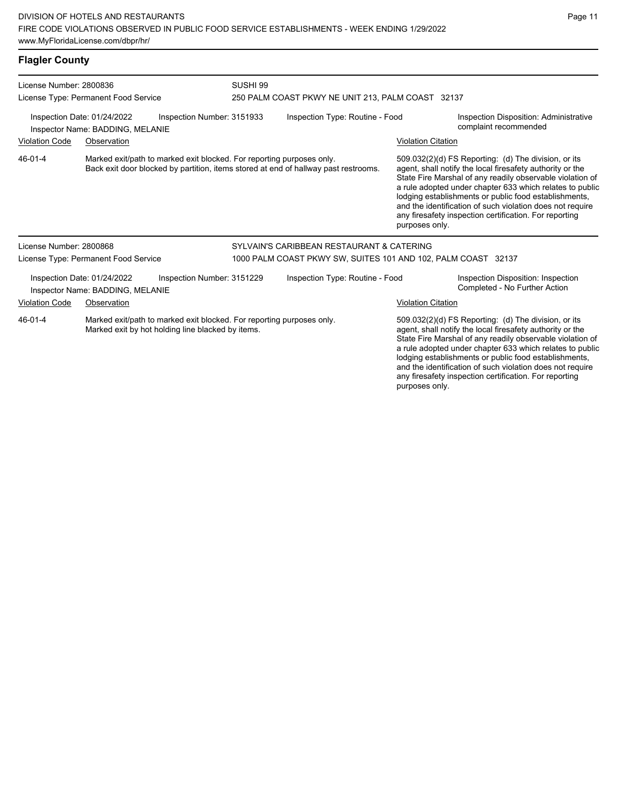| License Number: 2800836<br>License Type: Permanent Food Service                               |                                                                 | SUSHI 99<br>250 PALM COAST PKWY NE UNIT 213, PALM COAST 32137                                                              |  |                                                                                     |                           |                                                                                                                                                                                                                                                                                                                                                                                                                            |
|-----------------------------------------------------------------------------------------------|-----------------------------------------------------------------|----------------------------------------------------------------------------------------------------------------------------|--|-------------------------------------------------------------------------------------|---------------------------|----------------------------------------------------------------------------------------------------------------------------------------------------------------------------------------------------------------------------------------------------------------------------------------------------------------------------------------------------------------------------------------------------------------------------|
| Inspection Date: 01/24/2022<br>Inspection Number: 3151933<br>Inspector Name: BADDING, MELANIE |                                                                 |                                                                                                                            |  | Inspection Type: Routine - Food                                                     |                           | Inspection Disposition: Administrative<br>complaint recommended                                                                                                                                                                                                                                                                                                                                                            |
| <b>Violation Code</b>                                                                         | Observation                                                     |                                                                                                                            |  |                                                                                     | <b>Violation Citation</b> |                                                                                                                                                                                                                                                                                                                                                                                                                            |
| 46-01-4                                                                                       |                                                                 | Marked exit/path to marked exit blocked. For reporting purposes only.                                                      |  | Back exit door blocked by partition, items stored at end of hallway past restrooms. | purposes only.            | 509.032(2)(d) FS Reporting: (d) The division, or its<br>agent, shall notify the local firesafety authority or the<br>State Fire Marshal of any readily observable violation of<br>a rule adopted under chapter 633 which relates to public<br>lodging establishments or public food establishments,<br>and the identification of such violation does not require<br>any firesafety inspection certification. For reporting |
| License Number: 2800868                                                                       |                                                                 |                                                                                                                            |  | SYLVAIN'S CARIBBEAN RESTAURANT & CATERING                                           |                           |                                                                                                                                                                                                                                                                                                                                                                                                                            |
|                                                                                               | License Type: Permanent Food Service                            |                                                                                                                            |  | 1000 PALM COAST PKWY SW, SUITES 101 AND 102, PALM COAST 32137                       |                           |                                                                                                                                                                                                                                                                                                                                                                                                                            |
|                                                                                               | Inspection Date: 01/24/2022<br>Inspector Name: BADDING, MELANIE | Inspection Number: 3151229                                                                                                 |  | Inspection Type: Routine - Food                                                     |                           | Inspection Disposition: Inspection<br>Completed - No Further Action                                                                                                                                                                                                                                                                                                                                                        |
| <b>Violation Code</b>                                                                         | Observation                                                     |                                                                                                                            |  |                                                                                     | <b>Violation Citation</b> |                                                                                                                                                                                                                                                                                                                                                                                                                            |
| 46-01-4                                                                                       |                                                                 | Marked exit/path to marked exit blocked. For reporting purposes only.<br>Marked exit by hot holding line blacked by items. |  |                                                                                     |                           | 509.032(2)(d) FS Reporting: (d) The division, or its<br>agent, shall notify the local firesafety authority or the<br>State Fire Marshal of any readily observable violation of<br>a rule adopted under chapter 633 which relates to public<br>lodging establishments or public food establishments,                                                                                                                        |

Page 11

and the identification of such violation does not require any firesafety inspection certification. For reporting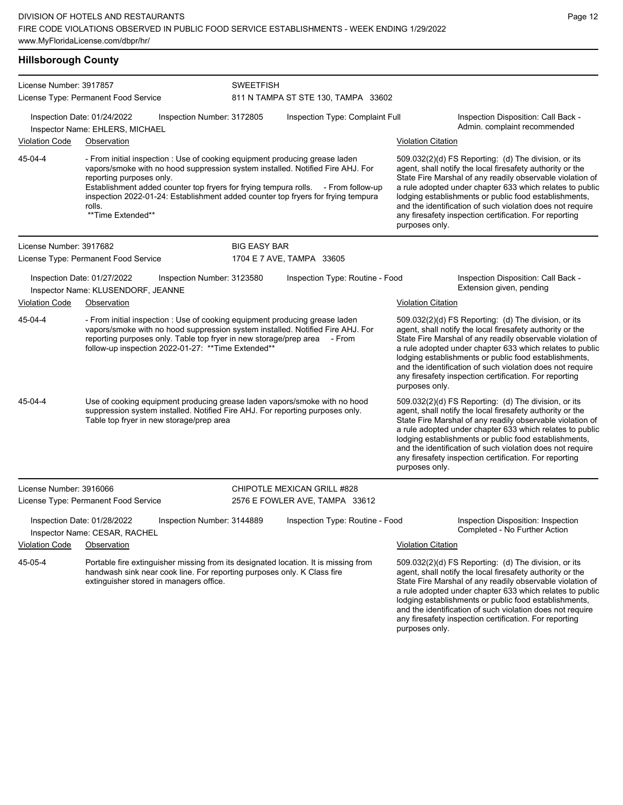# **Hillsborough County**

| License Number: 3917857 |                                                                             |                                                                                                                                                                                                                | <b>SWEETFISH</b>    |                                                                                                                                                                                                                                                         |                           |                                                                                                                                                                                                                                                                                                                                                                                                                            |
|-------------------------|-----------------------------------------------------------------------------|----------------------------------------------------------------------------------------------------------------------------------------------------------------------------------------------------------------|---------------------|---------------------------------------------------------------------------------------------------------------------------------------------------------------------------------------------------------------------------------------------------------|---------------------------|----------------------------------------------------------------------------------------------------------------------------------------------------------------------------------------------------------------------------------------------------------------------------------------------------------------------------------------------------------------------------------------------------------------------------|
|                         | License Type: Permanent Food Service                                        |                                                                                                                                                                                                                |                     | 811 N TAMPA ST STE 130, TAMPA 33602                                                                                                                                                                                                                     |                           |                                                                                                                                                                                                                                                                                                                                                                                                                            |
|                         | Inspection Date: 01/24/2022<br>Inspector Name: EHLERS, MICHAEL              | Inspection Number: 3172805                                                                                                                                                                                     |                     | Inspection Type: Complaint Full                                                                                                                                                                                                                         |                           | Inspection Disposition: Call Back -<br>Admin. complaint recommended                                                                                                                                                                                                                                                                                                                                                        |
| <b>Violation Code</b>   | Observation                                                                 |                                                                                                                                                                                                                |                     |                                                                                                                                                                                                                                                         | <b>Violation Citation</b> |                                                                                                                                                                                                                                                                                                                                                                                                                            |
| 45-04-4                 | reporting purposes only.<br>rolls.<br>**Time Extended**                     | - From initial inspection : Use of cooking equipment producing grease laden                                                                                                                                    |                     | vapors/smoke with no hood suppression system installed. Notified Fire AHJ. For<br>Establishment added counter top fryers for frying tempura rolls. - From follow-up<br>inspection 2022-01-24: Establishment added counter top fryers for frying tempura | purposes only.            | 509.032(2)(d) FS Reporting: (d) The division, or its<br>agent, shall notify the local firesafety authority or the<br>State Fire Marshal of any readily observable violation of<br>a rule adopted under chapter 633 which relates to public<br>lodging establishments or public food establishments,<br>and the identification of such violation does not require<br>any firesafety inspection certification. For reporting |
| License Number: 3917682 |                                                                             |                                                                                                                                                                                                                | <b>BIG EASY BAR</b> |                                                                                                                                                                                                                                                         |                           |                                                                                                                                                                                                                                                                                                                                                                                                                            |
|                         | License Type: Permanent Food Service                                        |                                                                                                                                                                                                                |                     | 1704 E 7 AVE, TAMPA 33605                                                                                                                                                                                                                               |                           |                                                                                                                                                                                                                                                                                                                                                                                                                            |
|                         | Inspection Date: 01/27/2022<br>Inspector Name: KLUSENDORF, JEANNE           | Inspection Number: 3123580                                                                                                                                                                                     |                     | Inspection Type: Routine - Food                                                                                                                                                                                                                         |                           | Inspection Disposition: Call Back -<br>Extension given, pending                                                                                                                                                                                                                                                                                                                                                            |
| Violation Code          | Observation                                                                 |                                                                                                                                                                                                                |                     |                                                                                                                                                                                                                                                         | <b>Violation Citation</b> |                                                                                                                                                                                                                                                                                                                                                                                                                            |
| 45-04-4                 |                                                                             | - From initial inspection : Use of cooking equipment producing grease laden<br>reporting purposes only. Table top fryer in new storage/prep area - From<br>follow-up inspection 2022-01-27: ** Time Extended** |                     | vapors/smoke with no hood suppression system installed. Notified Fire AHJ. For                                                                                                                                                                          | purposes only.            | 509.032(2)(d) FS Reporting: (d) The division, or its<br>agent, shall notify the local firesafety authority or the<br>State Fire Marshal of any readily observable violation of<br>a rule adopted under chapter 633 which relates to public<br>lodging establishments or public food establishments,<br>and the identification of such violation does not require<br>any firesafety inspection certification. For reporting |
| 45-04-4                 | Table top fryer in new storage/prep area                                    | suppression system installed. Notified Fire AHJ. For reporting purposes only.                                                                                                                                  |                     | Use of cooking equipment producing grease laden vapors/smoke with no hood                                                                                                                                                                               | purposes only.            | 509.032(2)(d) FS Reporting: (d) The division, or its<br>agent, shall notify the local firesafety authority or the<br>State Fire Marshal of any readily observable violation of<br>a rule adopted under chapter 633 which relates to public<br>lodging establishments or public food establishments,<br>and the identification of such violation does not require<br>any firesafety inspection certification. For reporting |
| License Number: 3916066 |                                                                             |                                                                                                                                                                                                                |                     | CHIPOTLE MEXICAN GRILL #828                                                                                                                                                                                                                             |                           |                                                                                                                                                                                                                                                                                                                                                                                                                            |
|                         | License Type: Permanent Food Service                                        |                                                                                                                                                                                                                |                     | 2576 E FOWLER AVE, TAMPA 33612                                                                                                                                                                                                                          |                           |                                                                                                                                                                                                                                                                                                                                                                                                                            |
| Violation Code          | Inspection Date: 01/28/2022<br>Inspector Name: CESAR, RACHEL<br>Observation | Inspection Number: 3144889                                                                                                                                                                                     |                     | Inspection Type: Routine - Food                                                                                                                                                                                                                         | <b>Violation Citation</b> | Inspection Disposition: Inspection<br>Completed - No Further Action                                                                                                                                                                                                                                                                                                                                                        |
| 45-05-4                 |                                                                             |                                                                                                                                                                                                                |                     | Portable fire extinguisher missing from its designated location. It is missing from                                                                                                                                                                     |                           | 509.032(2)(d) FS Reporting: (d) The division, or its                                                                                                                                                                                                                                                                                                                                                                       |
|                         | extinguisher stored in managers office.                                     | handwash sink near cook line. For reporting purposes only. K Class fire                                                                                                                                        |                     |                                                                                                                                                                                                                                                         | purposes only.            | agent, shall notify the local firesafety authority or the<br>State Fire Marshal of any readily observable violation of<br>a rule adopted under chapter 633 which relates to public<br>lodging establishments or public food establishments,<br>and the identification of such violation does not require<br>any firesafety inspection certification. For reporting                                                         |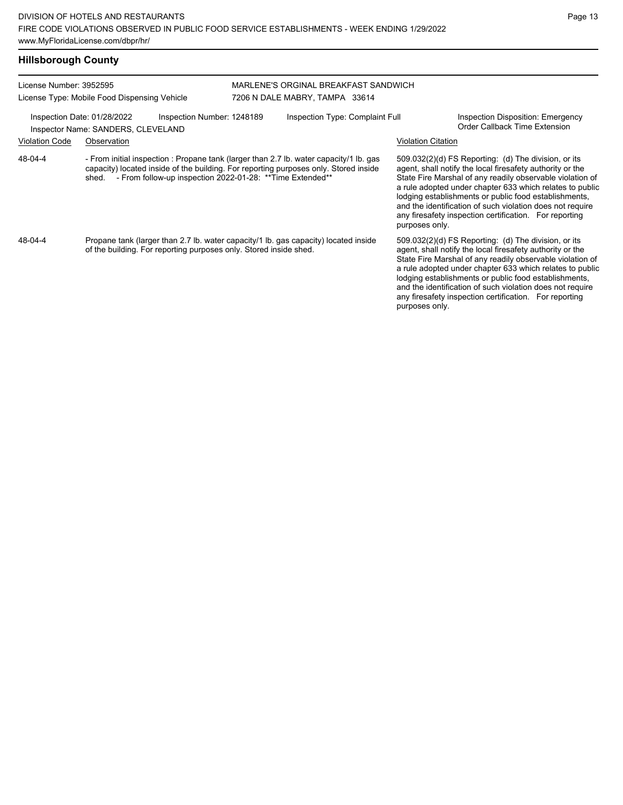any firesafety inspection certification. For reporting

| <b>Hillsborough County</b>                                              |                                                                   |                                                                                                                                                                                                                                              |                                                                                                                                                                                                                                                                                                                                                                                                                                              |                                                                                                                                                                                                                                                                                                                                                                  |  |  |
|-------------------------------------------------------------------------|-------------------------------------------------------------------|----------------------------------------------------------------------------------------------------------------------------------------------------------------------------------------------------------------------------------------------|----------------------------------------------------------------------------------------------------------------------------------------------------------------------------------------------------------------------------------------------------------------------------------------------------------------------------------------------------------------------------------------------------------------------------------------------|------------------------------------------------------------------------------------------------------------------------------------------------------------------------------------------------------------------------------------------------------------------------------------------------------------------------------------------------------------------|--|--|
| License Number: 3952595<br>License Type: Mobile Food Dispensing Vehicle |                                                                   |                                                                                                                                                                                                                                              | MARLENE'S ORGINAL BREAKFAST SANDWICH<br>7206 N DALE MABRY, TAMPA 33614                                                                                                                                                                                                                                                                                                                                                                       |                                                                                                                                                                                                                                                                                                                                                                  |  |  |
|                                                                         | Inspection Date: 01/28/2022<br>Inspector Name: SANDERS, CLEVELAND | Inspection Number: 1248189                                                                                                                                                                                                                   | Inspection Type: Complaint Full                                                                                                                                                                                                                                                                                                                                                                                                              | <b>Inspection Disposition: Emergency</b><br>Order Callback Time Extension                                                                                                                                                                                                                                                                                        |  |  |
| <b>Violation Code</b>                                                   | Observation                                                       |                                                                                                                                                                                                                                              |                                                                                                                                                                                                                                                                                                                                                                                                                                              | <b>Violation Citation</b>                                                                                                                                                                                                                                                                                                                                        |  |  |
| 48-04-4                                                                 | shed.                                                             | - From initial inspection : Propane tank (larger than 2.7 lb. water capacity/1 lb. gas<br>capacity) located inside of the building. For reporting purposes only. Stored inside<br>- From follow-up inspection 2022-01-28: ** Time Extended** | 509.032(2)(d) FS Reporting: (d) The division, or its<br>agent, shall notify the local firesafety authority or the<br>State Fire Marshal of any readily observable violation of<br>a rule adopted under chapter 633 which relates to public<br>lodging establishments or public food establishments,<br>and the identification of such violation does not require<br>any firesafety inspection certification. For reporting<br>purposes only. |                                                                                                                                                                                                                                                                                                                                                                  |  |  |
| 48-04-4                                                                 |                                                                   | of the building. For reporting purposes only. Stored inside shed.                                                                                                                                                                            | Propane tank (larger than 2.7 lb. water capacity/1 lb. gas capacity) located inside                                                                                                                                                                                                                                                                                                                                                          | 509.032(2)(d) FS Reporting: (d) The division, or its<br>agent, shall notify the local firesafety authority or the<br>State Fire Marshal of any readily observable violation of<br>a rule adopted under chapter 633 which relates to public<br>lodging establishments or public food establishments,<br>and the identification of such violation does not require |  |  |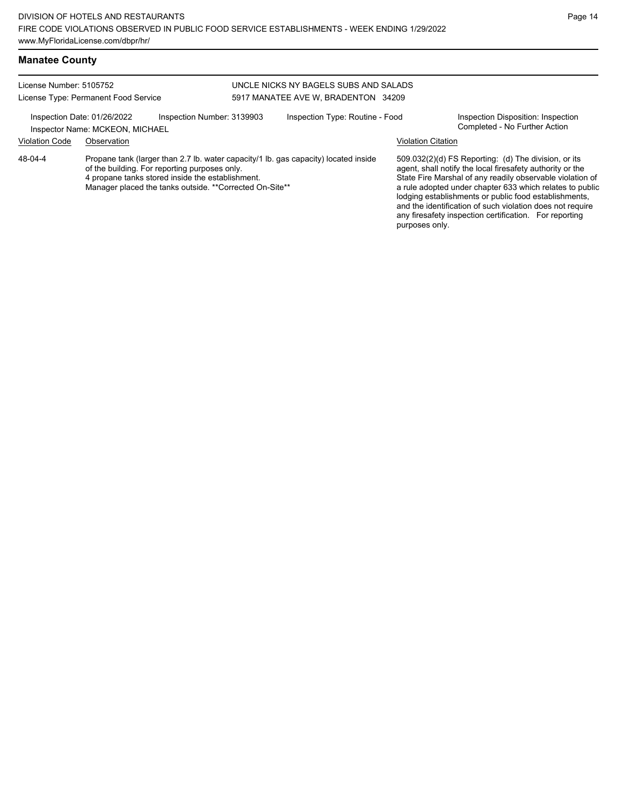License Number: 5105752

License Type: Permanent Food Service

## UNCLE NICKS NY BAGELS SUBS AND SALADS 5917 MANATEE AVE W, BRADENTON 34209

purposes only.

Inspection Date: 01/26/2022 Inspection Number: 3139903 Inspection Type: Routine - Food Inspection Disposition: Inspection<br>Inspector Name: MCKEON MICHAEI Inspector Name: MCKEON, MICHAEL Violation Code Observation Violation Citation Propane tank (larger than 2.7 lb. water capacity/1 lb. gas capacity) located inside of the building. For reporting purposes only. 4 propane tanks stored inside the establishment. Manager placed the tanks outside. \*\*Corrected On-Site\*\* 509.032(2)(d) FS Reporting: (d) The division, or its agent, shall notify the local firesafety authority or the State Fire Marshal of any readily observable violation of a rule adopted under chapter 633 which relates to public lodging establishments or public food establishments, and the identification of such violation does not require any firesafety inspection certification. For reporting 48-04-4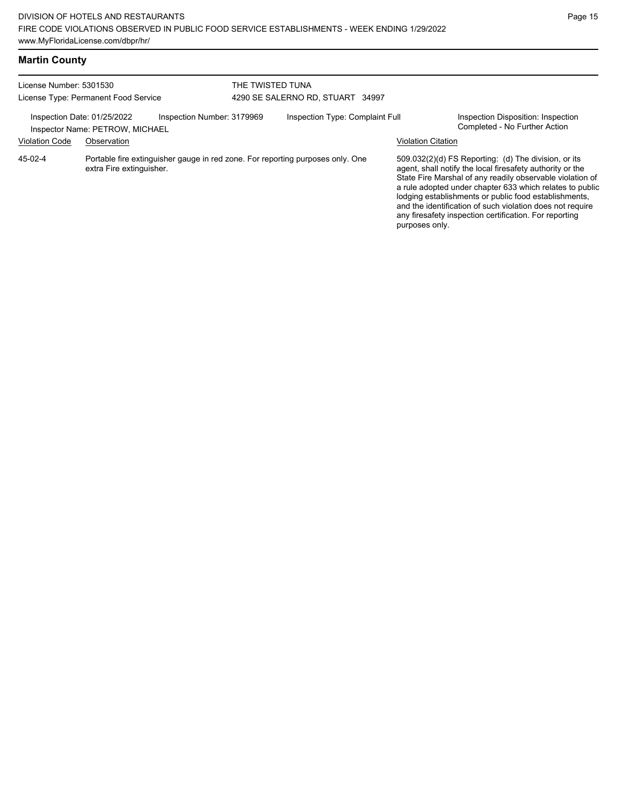# **Martin County**

| License Number: 5301530<br>License Type: Permanent Food Service                                                                      |                          |  | THE TWISTED TUNA<br>4290 SE SALERNO RD, STUART 34997         |                                                                                |                                                                     |                                                                                                                                                                                                                                                                                                                                                                                                                            |
|--------------------------------------------------------------------------------------------------------------------------------------|--------------------------|--|--------------------------------------------------------------|--------------------------------------------------------------------------------|---------------------------------------------------------------------|----------------------------------------------------------------------------------------------------------------------------------------------------------------------------------------------------------------------------------------------------------------------------------------------------------------------------------------------------------------------------------------------------------------------------|
| Inspection Date: 01/25/2022<br>Inspection Number: 3179969<br>Inspector Name: PETROW, MICHAEL<br><b>Violation Code</b><br>Observation |                          |  | Inspection Type: Complaint Full<br><b>Violation Citation</b> |                                                                                | Inspection Disposition: Inspection<br>Completed - No Further Action |                                                                                                                                                                                                                                                                                                                                                                                                                            |
| 45-02-4                                                                                                                              | extra Fire extinguisher. |  |                                                              | Portable fire extinguisher gauge in red zone. For reporting purposes only. One | purposes only.                                                      | 509.032(2)(d) FS Reporting: (d) The division, or its<br>agent, shall notify the local firesafety authority or the<br>State Fire Marshal of any readily observable violation of<br>a rule adopted under chapter 633 which relates to public<br>lodging establishments or public food establishments,<br>and the identification of such violation does not require<br>any firesafety inspection certification. For reporting |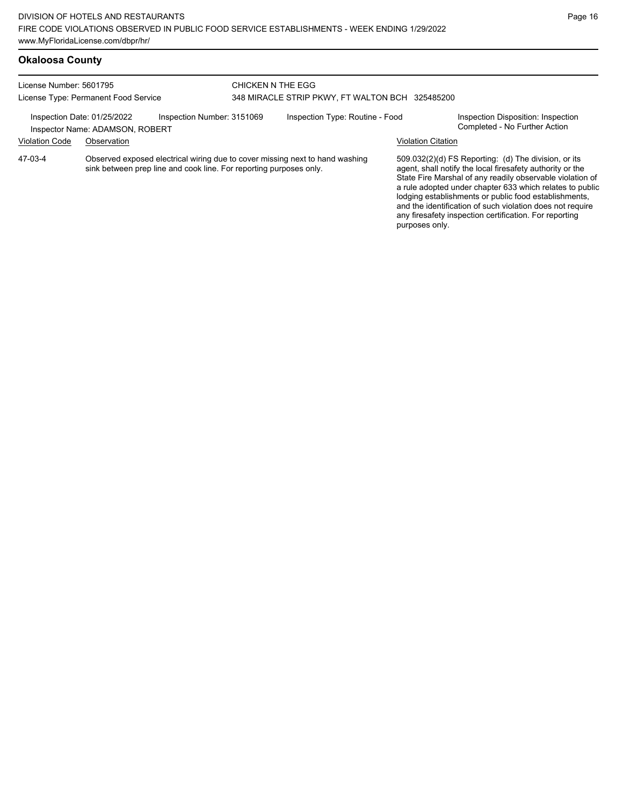| License Number: 5601795<br>License Type: Permanent Food Service<br>Inspection Number: 3151069<br>Inspection Date: 01/25/2022<br>Inspector Name: ADAMSON, ROBERT |                                                                                                                                                    |  | CHICKEN N THE EGG<br>348 MIRACLE STRIP PKWY, FT WALTON BCH 325485200 |                                 |                           |                                                                                                                                                                                                                                                                                                                                                                  |  |
|-----------------------------------------------------------------------------------------------------------------------------------------------------------------|----------------------------------------------------------------------------------------------------------------------------------------------------|--|----------------------------------------------------------------------|---------------------------------|---------------------------|------------------------------------------------------------------------------------------------------------------------------------------------------------------------------------------------------------------------------------------------------------------------------------------------------------------------------------------------------------------|--|
|                                                                                                                                                                 |                                                                                                                                                    |  |                                                                      | Inspection Type: Routine - Food |                           | Inspection Disposition: Inspection<br>Completed - No Further Action                                                                                                                                                                                                                                                                                              |  |
| <b>Violation Code</b>                                                                                                                                           | Observation                                                                                                                                        |  |                                                                      |                                 | <b>Violation Citation</b> |                                                                                                                                                                                                                                                                                                                                                                  |  |
| 47-03-4                                                                                                                                                         | Observed exposed electrical wiring due to cover missing next to hand washing<br>sink between prep line and cook line. For reporting purposes only. |  |                                                                      |                                 |                           | 509.032(2)(d) FS Reporting: (d) The division, or its<br>agent, shall notify the local firesafety authority or the<br>State Fire Marshal of any readily observable violation of<br>a rule adopted under chapter 633 which relates to public<br>lodging establishments or public food establishments,<br>and the identification of such violation does not require |  |

any firesafety inspection certification. For reporting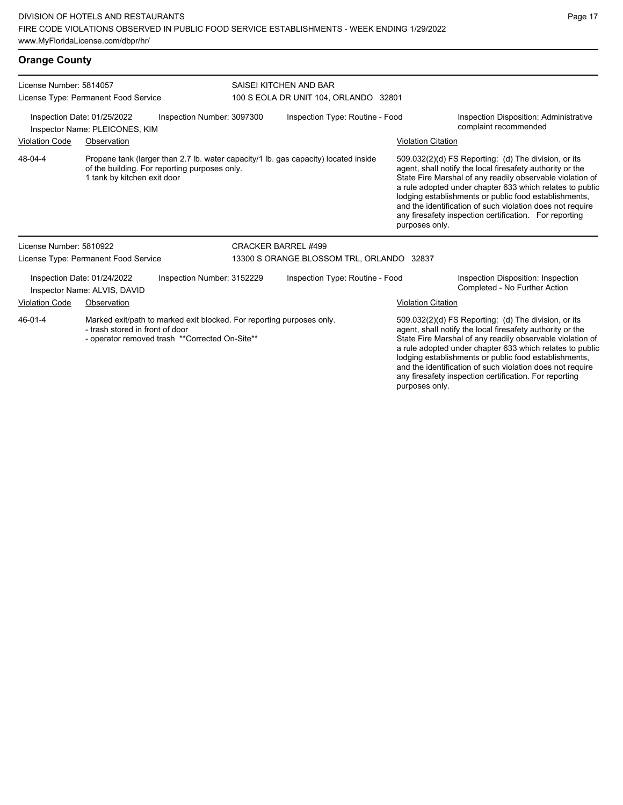# **Orange County**

| License Number: 5814057<br>License Type: Permanent Food Service                                                                                                       |                                      |                                               | SAISEI KITCHEN AND BAR<br>100 S EOLA DR UNIT 104, ORLANDO 32801 |                                                                                     |                                                                                                                                                                                                                                                                                                                                                                  |                                                                                                                                                                                                                                                                                                                                                                                                                            |  |
|-----------------------------------------------------------------------------------------------------------------------------------------------------------------------|--------------------------------------|-----------------------------------------------|-----------------------------------------------------------------|-------------------------------------------------------------------------------------|------------------------------------------------------------------------------------------------------------------------------------------------------------------------------------------------------------------------------------------------------------------------------------------------------------------------------------------------------------------|----------------------------------------------------------------------------------------------------------------------------------------------------------------------------------------------------------------------------------------------------------------------------------------------------------------------------------------------------------------------------------------------------------------------------|--|
| Inspection Date: 01/25/2022<br>Inspection Number: 3097300<br>Inspector Name: PLEICONES, KIM                                                                           |                                      |                                               | Inspection Type: Routine - Food                                 |                                                                                     | Inspection Disposition: Administrative<br>complaint recommended                                                                                                                                                                                                                                                                                                  |                                                                                                                                                                                                                                                                                                                                                                                                                            |  |
| <b>Violation Code</b>                                                                                                                                                 | Observation                          |                                               |                                                                 |                                                                                     | <b>Violation Citation</b>                                                                                                                                                                                                                                                                                                                                        |                                                                                                                                                                                                                                                                                                                                                                                                                            |  |
| 48-04-4                                                                                                                                                               | 1 tank by kitchen exit door          | of the building. For reporting purposes only. |                                                                 | Propane tank (larger than 2.7 lb. water capacity/1 lb. gas capacity) located inside | purposes only.                                                                                                                                                                                                                                                                                                                                                   | 509.032(2)(d) FS Reporting: (d) The division, or its<br>agent, shall notify the local firesafety authority or the<br>State Fire Marshal of any readily observable violation of<br>a rule adopted under chapter 633 which relates to public<br>lodging establishments or public food establishments,<br>and the identification of such violation does not require<br>any firesafety inspection certification. For reporting |  |
| License Number: 5810922                                                                                                                                               |                                      |                                               |                                                                 | <b>CRACKER BARREL #499</b>                                                          |                                                                                                                                                                                                                                                                                                                                                                  |                                                                                                                                                                                                                                                                                                                                                                                                                            |  |
|                                                                                                                                                                       | License Type: Permanent Food Service |                                               | 13300 S ORANGE BLOSSOM TRL, ORLANDO 32837                       |                                                                                     |                                                                                                                                                                                                                                                                                                                                                                  |                                                                                                                                                                                                                                                                                                                                                                                                                            |  |
| Inspection Date: 01/24/2022<br>Inspection Number: 3152229<br>Inspector Name: ALVIS, DAVID                                                                             |                                      |                                               | Inspection Type: Routine - Food                                 |                                                                                     |                                                                                                                                                                                                                                                                                                                                                                  | Inspection Disposition: Inspection<br>Completed - No Further Action                                                                                                                                                                                                                                                                                                                                                        |  |
| <b>Violation Code</b><br>Observation                                                                                                                                  |                                      |                                               |                                                                 |                                                                                     | <b>Violation Citation</b>                                                                                                                                                                                                                                                                                                                                        |                                                                                                                                                                                                                                                                                                                                                                                                                            |  |
| 46-01-4<br>Marked exit/path to marked exit blocked. For reporting purposes only.<br>- trash stored in front of door<br>- operator removed trash **Corrected On-Site** |                                      |                                               |                                                                 |                                                                                     | 509.032(2)(d) FS Reporting: (d) The division, or its<br>agent, shall notify the local firesafety authority or the<br>State Fire Marshal of any readily observable violation of<br>a rule adopted under chapter 633 which relates to public<br>lodging establishments or public food establishments,<br>and the identification of such violation does not require |                                                                                                                                                                                                                                                                                                                                                                                                                            |  |

any firesafety inspection certification. For reporting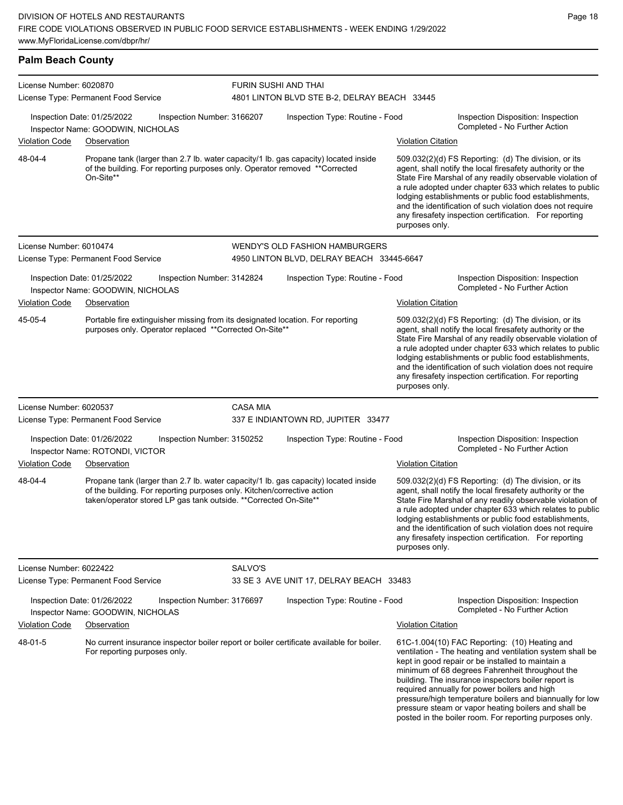## **Palm Beach County**

| License Number: 6020870              |                                                                                                                                                                                                                                     |                                    | FURIN SUSHI AND THAI                                                                |                           |                                                                                                                                                                                                                                                                                                                                                                                                                                                                                                          |  |  |  |
|--------------------------------------|-------------------------------------------------------------------------------------------------------------------------------------------------------------------------------------------------------------------------------------|------------------------------------|-------------------------------------------------------------------------------------|---------------------------|----------------------------------------------------------------------------------------------------------------------------------------------------------------------------------------------------------------------------------------------------------------------------------------------------------------------------------------------------------------------------------------------------------------------------------------------------------------------------------------------------------|--|--|--|
| License Type: Permanent Food Service |                                                                                                                                                                                                                                     |                                    | 4801 LINTON BLVD STE B-2, DELRAY BEACH 33445                                        |                           |                                                                                                                                                                                                                                                                                                                                                                                                                                                                                                          |  |  |  |
|                                      | Inspection Date: 01/25/2022<br>Inspection Number: 3166207<br>Inspector Name: GOODWIN, NICHOLAS                                                                                                                                      |                                    | Inspection Type: Routine - Food                                                     |                           | Inspection Disposition: Inspection<br>Completed - No Further Action                                                                                                                                                                                                                                                                                                                                                                                                                                      |  |  |  |
| <b>Violation Code</b>                | Observation                                                                                                                                                                                                                         |                                    |                                                                                     | <b>Violation Citation</b> |                                                                                                                                                                                                                                                                                                                                                                                                                                                                                                          |  |  |  |
| 48-04-4                              | of the building. For reporting purposes only. Operator removed **Corrected<br>On-Site**                                                                                                                                             |                                    | Propane tank (larger than 2.7 lb. water capacity/1 lb. gas capacity) located inside |                           | 509.032(2)(d) FS Reporting: (d) The division, or its<br>agent, shall notify the local firesafety authority or the<br>State Fire Marshal of any readily observable violation of<br>a rule adopted under chapter 633 which relates to public<br>lodging establishments or public food establishments,<br>and the identification of such violation does not require<br>any firesafety inspection certification. For reporting<br>purposes only.                                                             |  |  |  |
| License Number: 6010474              |                                                                                                                                                                                                                                     |                                    | <b>WENDY'S OLD FASHION HAMBURGERS</b>                                               |                           |                                                                                                                                                                                                                                                                                                                                                                                                                                                                                                          |  |  |  |
|                                      | License Type: Permanent Food Service                                                                                                                                                                                                |                                    | 4950 LINTON BLVD, DELRAY BEACH 33445-6647                                           |                           |                                                                                                                                                                                                                                                                                                                                                                                                                                                                                                          |  |  |  |
|                                      | Inspection Date: 01/25/2022<br>Inspection Number: 3142824<br>Inspector Name: GOODWIN, NICHOLAS                                                                                                                                      |                                    | Inspection Type: Routine - Food                                                     |                           | Inspection Disposition: Inspection<br>Completed - No Further Action                                                                                                                                                                                                                                                                                                                                                                                                                                      |  |  |  |
| <b>Violation Code</b>                | Observation                                                                                                                                                                                                                         |                                    |                                                                                     | <b>Violation Citation</b> |                                                                                                                                                                                                                                                                                                                                                                                                                                                                                                          |  |  |  |
| 45-05-4                              | Portable fire extinguisher missing from its designated location. For reporting<br>purposes only. Operator replaced ** Corrected On-Site**                                                                                           |                                    |                                                                                     | purposes only.            | 509.032(2)(d) FS Reporting: (d) The division, or its<br>agent, shall notify the local firesafety authority or the<br>State Fire Marshal of any readily observable violation of<br>a rule adopted under chapter 633 which relates to public<br>lodging establishments or public food establishments,<br>and the identification of such violation does not require<br>any firesafety inspection certification. For reporting                                                                               |  |  |  |
| License Number: 6020537              |                                                                                                                                                                                                                                     | <b>CASA MIA</b>                    |                                                                                     |                           |                                                                                                                                                                                                                                                                                                                                                                                                                                                                                                          |  |  |  |
|                                      | License Type: Permanent Food Service                                                                                                                                                                                                | 337 E INDIANTOWN RD, JUPITER 33477 |                                                                                     |                           |                                                                                                                                                                                                                                                                                                                                                                                                                                                                                                          |  |  |  |
|                                      | Inspection Date: 01/26/2022<br>Inspection Number: 3150252<br>Inspector Name: ROTONDI, VICTOR                                                                                                                                        |                                    | Inspection Type: Routine - Food                                                     |                           | Inspection Disposition: Inspection<br>Completed - No Further Action                                                                                                                                                                                                                                                                                                                                                                                                                                      |  |  |  |
| <b>Violation Code</b>                | Observation                                                                                                                                                                                                                         |                                    |                                                                                     | <b>Violation Citation</b> |                                                                                                                                                                                                                                                                                                                                                                                                                                                                                                          |  |  |  |
| 48-04-4                              | Propane tank (larger than 2.7 lb. water capacity/1 lb. gas capacity) located inside<br>of the building. For reporting purposes only. Kitchen/corrective action<br>taken/operator stored LP gas tank outside. ** Corrected On-Site** |                                    |                                                                                     | purposes only.            | 509.032(2)(d) FS Reporting: (d) The division, or its<br>agent, shall notify the local firesafety authority or the<br>State Fire Marshal of any readily observable violation of<br>a rule adopted under chapter 633 which relates to public<br>lodging establishments or public food establishments,<br>and the identification of such violation does not require<br>any firesafety inspection certification. For reporting                                                                               |  |  |  |
| License Number: 6022422              |                                                                                                                                                                                                                                     | SALVO'S                            |                                                                                     |                           |                                                                                                                                                                                                                                                                                                                                                                                                                                                                                                          |  |  |  |
|                                      | License Type: Permanent Food Service                                                                                                                                                                                                |                                    | 33 SE 3 AVE UNIT 17, DELRAY BEACH 33483                                             |                           |                                                                                                                                                                                                                                                                                                                                                                                                                                                                                                          |  |  |  |
|                                      | Inspection Date: 01/26/2022<br>Inspection Number: 3176697<br>Inspector Name: GOODWIN, NICHOLAS                                                                                                                                      |                                    | Inspection Type: Routine - Food                                                     |                           | Inspection Disposition: Inspection<br>Completed - No Further Action                                                                                                                                                                                                                                                                                                                                                                                                                                      |  |  |  |
| <b>Violation Code</b>                | Observation                                                                                                                                                                                                                         |                                    |                                                                                     | <b>Violation Citation</b> |                                                                                                                                                                                                                                                                                                                                                                                                                                                                                                          |  |  |  |
| 48-01-5                              | No current insurance inspector boiler report or boiler certificate available for boiler.<br>For reporting purposes only.                                                                                                            |                                    |                                                                                     |                           | 61C-1.004(10) FAC Reporting: (10) Heating and<br>ventilation - The heating and ventilation system shall be<br>kept in good repair or be installed to maintain a<br>minimum of 68 degrees Fahrenheit throughout the<br>building. The insurance inspectors boiler report is<br>required annually for power boilers and high<br>pressure/high temperature boilers and biannually for low<br>pressure steam or vapor heating boilers and shall be<br>posted in the boiler room. For reporting purposes only. |  |  |  |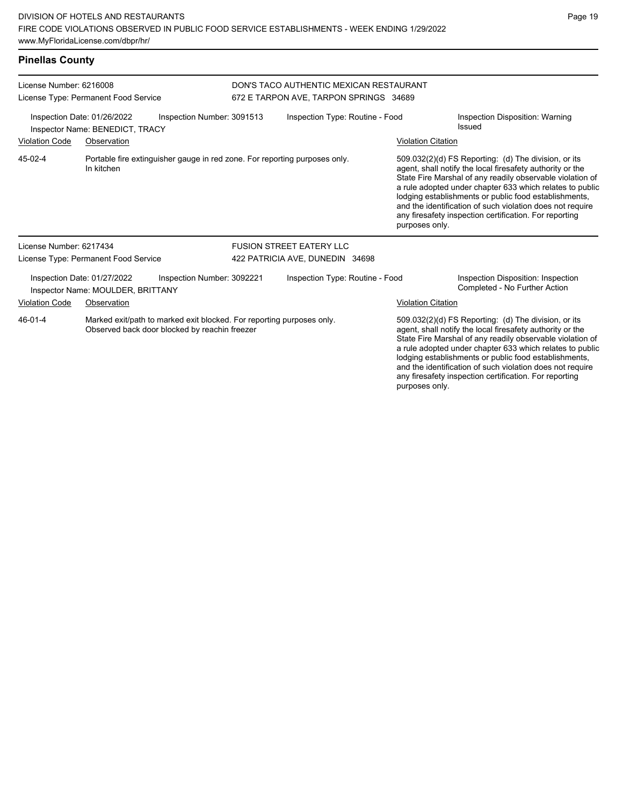any firesafety inspection certification. For reporting

| <b>Pinellas County</b>                                                                                                                                          |                                      |  |                                                                                   |                                                                                                                                                                                                                                                                                                                                                                  |  |                                           |                                                                                                                                                                                                                                                                                                                                                                                                                            |  |
|-----------------------------------------------------------------------------------------------------------------------------------------------------------------|--------------------------------------|--|-----------------------------------------------------------------------------------|------------------------------------------------------------------------------------------------------------------------------------------------------------------------------------------------------------------------------------------------------------------------------------------------------------------------------------------------------------------|--|-------------------------------------------|----------------------------------------------------------------------------------------------------------------------------------------------------------------------------------------------------------------------------------------------------------------------------------------------------------------------------------------------------------------------------------------------------------------------------|--|
| License Number: 6216008<br>License Type: Permanent Food Service<br>Inspection Date: 01/26/2022<br>Inspection Number: 3091513<br>Inspector Name: BENEDICT, TRACY |                                      |  | DON'S TACO AUTHENTIC MEXICAN RESTAURANT<br>672 E TARPON AVE, TARPON SPRINGS 34689 |                                                                                                                                                                                                                                                                                                                                                                  |  |                                           |                                                                                                                                                                                                                                                                                                                                                                                                                            |  |
|                                                                                                                                                                 |                                      |  | Inspection Type: Routine - Food                                                   |                                                                                                                                                                                                                                                                                                                                                                  |  | Inspection Disposition: Warning<br>Issued |                                                                                                                                                                                                                                                                                                                                                                                                                            |  |
| <b>Violation Code</b><br>Observation                                                                                                                            |                                      |  |                                                                                   |                                                                                                                                                                                                                                                                                                                                                                  |  | <b>Violation Citation</b>                 |                                                                                                                                                                                                                                                                                                                                                                                                                            |  |
| 45-02-4                                                                                                                                                         | In kitchen                           |  |                                                                                   | Portable fire extinguisher gauge in red zone. For reporting purposes only.<br>purposes only.                                                                                                                                                                                                                                                                     |  |                                           | 509.032(2)(d) FS Reporting: (d) The division, or its<br>agent, shall notify the local firesafety authority or the<br>State Fire Marshal of any readily observable violation of<br>a rule adopted under chapter 633 which relates to public<br>lodging establishments or public food establishments,<br>and the identification of such violation does not require<br>any firesafety inspection certification. For reporting |  |
| License Number: 6217434                                                                                                                                         |                                      |  |                                                                                   | <b>FUSION STREET EATERY LLC</b>                                                                                                                                                                                                                                                                                                                                  |  |                                           |                                                                                                                                                                                                                                                                                                                                                                                                                            |  |
|                                                                                                                                                                 | License Type: Permanent Food Service |  |                                                                                   | 422 PATRICIA AVE, DUNEDIN 34698                                                                                                                                                                                                                                                                                                                                  |  |                                           |                                                                                                                                                                                                                                                                                                                                                                                                                            |  |
| Inspection Number: 3092221<br>Inspection Date: 01/27/2022<br>Inspector Name: MOULDER, BRITTANY                                                                  |                                      |  |                                                                                   | Inspection Type: Routine - Food                                                                                                                                                                                                                                                                                                                                  |  |                                           | Inspection Disposition: Inspection<br>Completed - No Further Action                                                                                                                                                                                                                                                                                                                                                        |  |
| <b>Violation Code</b>                                                                                                                                           | Observation                          |  |                                                                                   |                                                                                                                                                                                                                                                                                                                                                                  |  | <b>Violation Citation</b>                 |                                                                                                                                                                                                                                                                                                                                                                                                                            |  |
| 46-01-4<br>Marked exit/path to marked exit blocked. For reporting purposes only.<br>Observed back door blocked by reachin freezer                               |                                      |  |                                                                                   | 509.032(2)(d) FS Reporting: (d) The division, or its<br>agent, shall notify the local firesafety authority or the<br>State Fire Marshal of any readily observable violation of<br>a rule adopted under chapter 633 which relates to public<br>lodging establishments or public food establishments,<br>and the identification of such violation does not require |  |                                           |                                                                                                                                                                                                                                                                                                                                                                                                                            |  |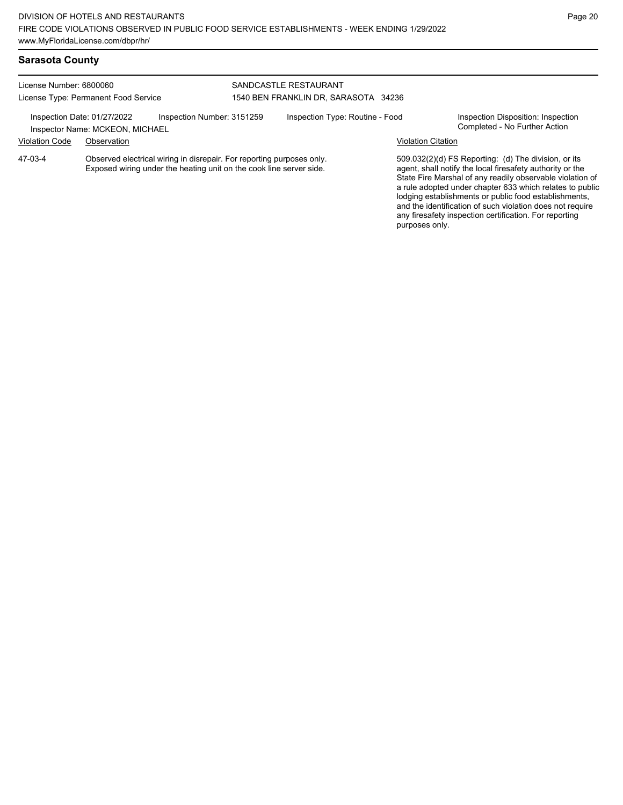### License Number: 6800060 License Type: Permanent Food Service SANDCASTLE RESTAURANT 1540 BEN FRANKLIN DR, SARASOTA 34236 Inspection Date: 01/27/2022 Inspection Number: 3151259 Inspection Type: Routine - Food Inspection Disposition: Inspection<br>Inspector Name: MCKFON\_MICHAFI Inspector Name: MCKEON, MICHAEL Violation Code Observation Violation Citation Observed electrical wiring in disrepair. For reporting purposes only. Exposed wiring under the heating unit on the cook line server side. 509.032(2)(d) FS Reporting: (d) The division, or its agent, shall notify the local firesafety authority or the State Fire Marshal of any readily observable violation of a rule adopted under chapter 633 which relates to public lodging establishments or public food establishments, and the identification of such violation does not require 47-03-4

any firesafety inspection certification. For reporting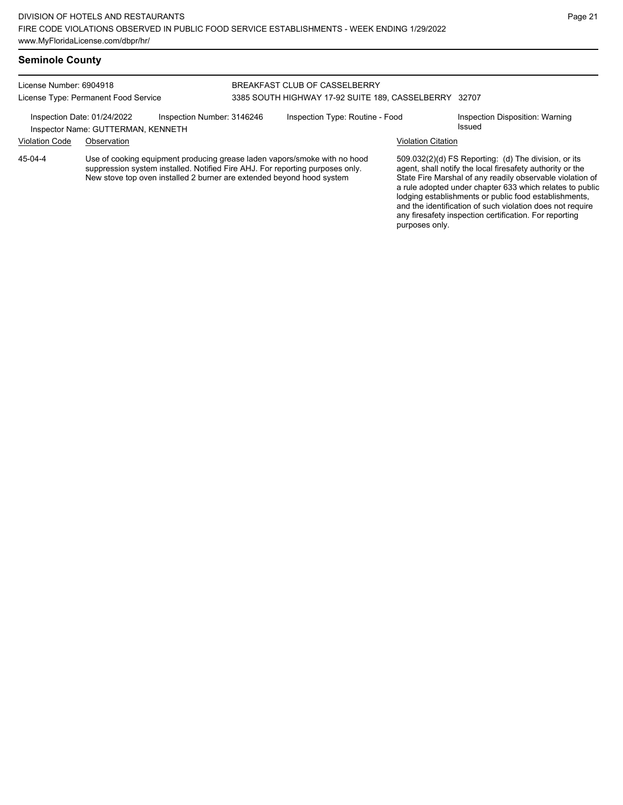## **Seminole County**

License Number: 6904918

## BREAKFAST CLUB OF CASSELBERRY 3385 SOUTH HIGHWAY 17-92 SUITE 189, CASSELBERRY 32707

Inspection Date: 01/24/2022 Inspection Number: 3146246 Inspection Type: Routine - Food Inspection Disposition: Warning

Inspector Name: GUTTERMAN, KENNETH

Violation Code Observation Violation Citation

License Type: Permanent Food Service

Use of cooking equipment producing grease laden vapors/smoke with no hood suppression system installed. Notified Fire AHJ. For reporting purposes only. New stove top oven installed 2 burner are extended beyond hood system 45-04-4

509.032(2)(d) FS Reporting: (d) The division, or its agent, shall notify the local firesafety authority or the State Fire Marshal of any readily observable violation of a rule adopted under chapter 633 which relates to public lodging establishments or public food establishments, and the identification of such violation does not require any firesafety inspection certification. For reporting purposes only.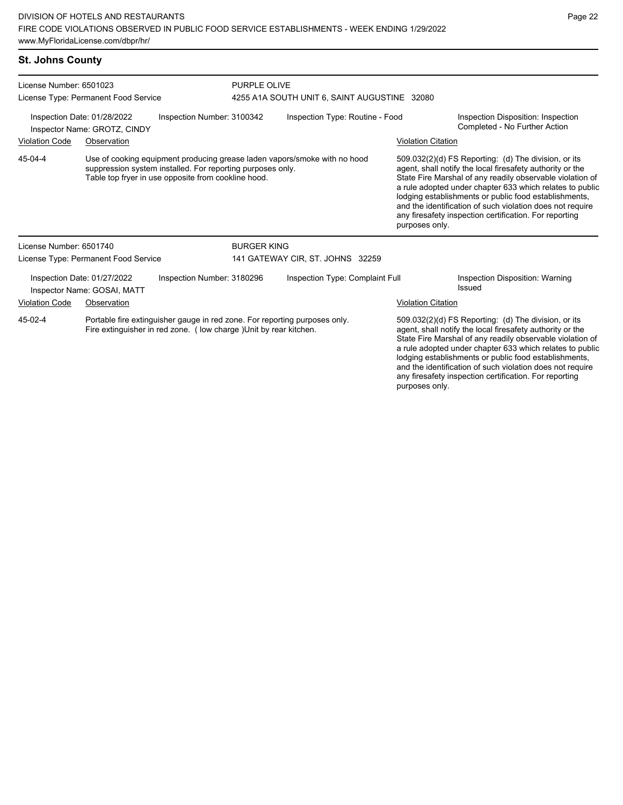| <b>St. Johns County</b>                                                                                                                                    |                                                                                                                                                                                                |  |                                                                     |                                  |                                                                                                                                                                                                                                                                                                                                                                                                                                              |                                           |  |  |
|------------------------------------------------------------------------------------------------------------------------------------------------------------|------------------------------------------------------------------------------------------------------------------------------------------------------------------------------------------------|--|---------------------------------------------------------------------|----------------------------------|----------------------------------------------------------------------------------------------------------------------------------------------------------------------------------------------------------------------------------------------------------------------------------------------------------------------------------------------------------------------------------------------------------------------------------------------|-------------------------------------------|--|--|
| License Number: 6501023<br>License Type: Permanent Food Service                                                                                            |                                                                                                                                                                                                |  | <b>PURPLE OLIVE</b><br>4255 A1A SOUTH UNIT 6, SAINT AUGUSTINE 32080 |                                  |                                                                                                                                                                                                                                                                                                                                                                                                                                              |                                           |  |  |
|                                                                                                                                                            |                                                                                                                                                                                                |  |                                                                     |                                  |                                                                                                                                                                                                                                                                                                                                                                                                                                              |                                           |  |  |
| <b>Violation Code</b><br>Observation                                                                                                                       |                                                                                                                                                                                                |  |                                                                     |                                  | <b>Violation Citation</b>                                                                                                                                                                                                                                                                                                                                                                                                                    |                                           |  |  |
| 45-04-4                                                                                                                                                    | Use of cooking equipment producing grease laden vapors/smoke with no hood<br>suppression system installed. For reporting purposes only.<br>Table top fryer in use opposite from cookline hood. |  |                                                                     |                                  | 509.032(2)(d) FS Reporting: (d) The division, or its<br>agent, shall notify the local firesafety authority or the<br>State Fire Marshal of any readily observable violation of<br>a rule adopted under chapter 633 which relates to public<br>lodging establishments or public food establishments,<br>and the identification of such violation does not require<br>any firesafety inspection certification. For reporting<br>purposes only. |                                           |  |  |
| License Number: 6501740                                                                                                                                    |                                                                                                                                                                                                |  | <b>BURGER KING</b>                                                  |                                  |                                                                                                                                                                                                                                                                                                                                                                                                                                              |                                           |  |  |
|                                                                                                                                                            | License Type: Permanent Food Service                                                                                                                                                           |  |                                                                     | 141 GATEWAY CIR, ST. JOHNS 32259 |                                                                                                                                                                                                                                                                                                                                                                                                                                              |                                           |  |  |
| Inspection Date: 01/27/2022<br>Inspection Number: 3180296<br>Inspector Name: GOSAI, MATT                                                                   |                                                                                                                                                                                                |  | Inspection Type: Complaint Full                                     |                                  |                                                                                                                                                                                                                                                                                                                                                                                                                                              | Inspection Disposition: Warning<br>Issued |  |  |
| <b>Violation Code</b>                                                                                                                                      | Observation                                                                                                                                                                                    |  |                                                                     |                                  | <b>Violation Citation</b>                                                                                                                                                                                                                                                                                                                                                                                                                    |                                           |  |  |
| 45-02-4<br>Portable fire extinguisher gauge in red zone. For reporting purposes only.<br>Fire extinguisher in red zone. (low charge) Unit by rear kitchen. |                                                                                                                                                                                                |  |                                                                     |                                  | 509.032(2)(d) FS Reporting: (d) The division, or its<br>agent, shall notify the local firesafety authority or the                                                                                                                                                                                                                                                                                                                            |                                           |  |  |

State Fire Marshal of any readily observable violation of a rule adopted under chapter 633 which relates to public lodging establishments or public food establishments, and the identification of such violation does not require any firesafety inspection certification. For reporting purposes only.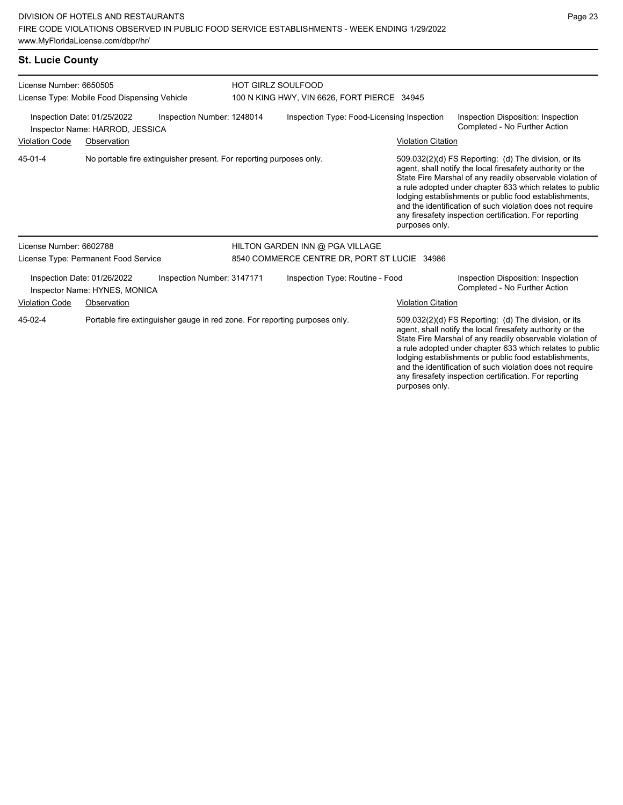## **St. Lucie County**

| License Number: 6650505<br>License Type: Mobile Food Dispensing Vehicle                      |                                                              |                                                                     | <b>HOT GIRLZ SOULFOOD</b> | 100 N KING HWY, VIN 6626, FORT PIERCE 34945  |                                                                                                                                                                                                                                                                                                                                                                  |                                                                                                                                                                                                                                                                                                                                                                                                                            |
|----------------------------------------------------------------------------------------------|--------------------------------------------------------------|---------------------------------------------------------------------|---------------------------|----------------------------------------------|------------------------------------------------------------------------------------------------------------------------------------------------------------------------------------------------------------------------------------------------------------------------------------------------------------------------------------------------------------------|----------------------------------------------------------------------------------------------------------------------------------------------------------------------------------------------------------------------------------------------------------------------------------------------------------------------------------------------------------------------------------------------------------------------------|
| Inspection Number: 1248014<br>Inspection Date: 01/25/2022<br>Inspector Name: HARROD, JESSICA |                                                              |                                                                     |                           | Inspection Type: Food-Licensing Inspection   |                                                                                                                                                                                                                                                                                                                                                                  | Inspection Disposition: Inspection<br>Completed - No Further Action                                                                                                                                                                                                                                                                                                                                                        |
| <b>Violation Code</b>                                                                        | Observation                                                  |                                                                     |                           |                                              | <b>Violation Citation</b>                                                                                                                                                                                                                                                                                                                                        |                                                                                                                                                                                                                                                                                                                                                                                                                            |
| 45-01-4                                                                                      |                                                              | No portable fire extinguisher present. For reporting purposes only. |                           |                                              | purposes only.                                                                                                                                                                                                                                                                                                                                                   | 509.032(2)(d) FS Reporting: (d) The division, or its<br>agent, shall notify the local firesafety authority or the<br>State Fire Marshal of any readily observable violation of<br>a rule adopted under chapter 633 which relates to public<br>lodging establishments or public food establishments,<br>and the identification of such violation does not require<br>any firesafety inspection certification. For reporting |
| License Number: 6602788                                                                      |                                                              |                                                                     |                           | HILTON GARDEN INN @ PGA VILLAGE              |                                                                                                                                                                                                                                                                                                                                                                  |                                                                                                                                                                                                                                                                                                                                                                                                                            |
|                                                                                              | License Type: Permanent Food Service                         |                                                                     |                           | 8540 COMMERCE CENTRE DR. PORT ST LUCIE 34986 |                                                                                                                                                                                                                                                                                                                                                                  |                                                                                                                                                                                                                                                                                                                                                                                                                            |
|                                                                                              | Inspection Date: 01/26/2022<br>Inspector Name: HYNES, MONICA | Inspection Number: 3147171                                          |                           | Inspection Type: Routine - Food              |                                                                                                                                                                                                                                                                                                                                                                  | Inspection Disposition: Inspection<br>Completed - No Further Action                                                                                                                                                                                                                                                                                                                                                        |
| <b>Violation Code</b>                                                                        | Observation                                                  |                                                                     |                           |                                              | <b>Violation Citation</b>                                                                                                                                                                                                                                                                                                                                        |                                                                                                                                                                                                                                                                                                                                                                                                                            |
| 45-02-4<br>Portable fire extinguisher gauge in red zone. For reporting purposes only.        |                                                              |                                                                     |                           |                                              | 509.032(2)(d) FS Reporting: (d) The division, or its<br>agent, shall notify the local firesafety authority or the<br>State Fire Marshal of any readily observable violation of<br>a rule adopted under chapter 633 which relates to public<br>lodging establishments or public food establishments,<br>and the identification of such violation does not require |                                                                                                                                                                                                                                                                                                                                                                                                                            |

any firesafety inspection certification. For reporting